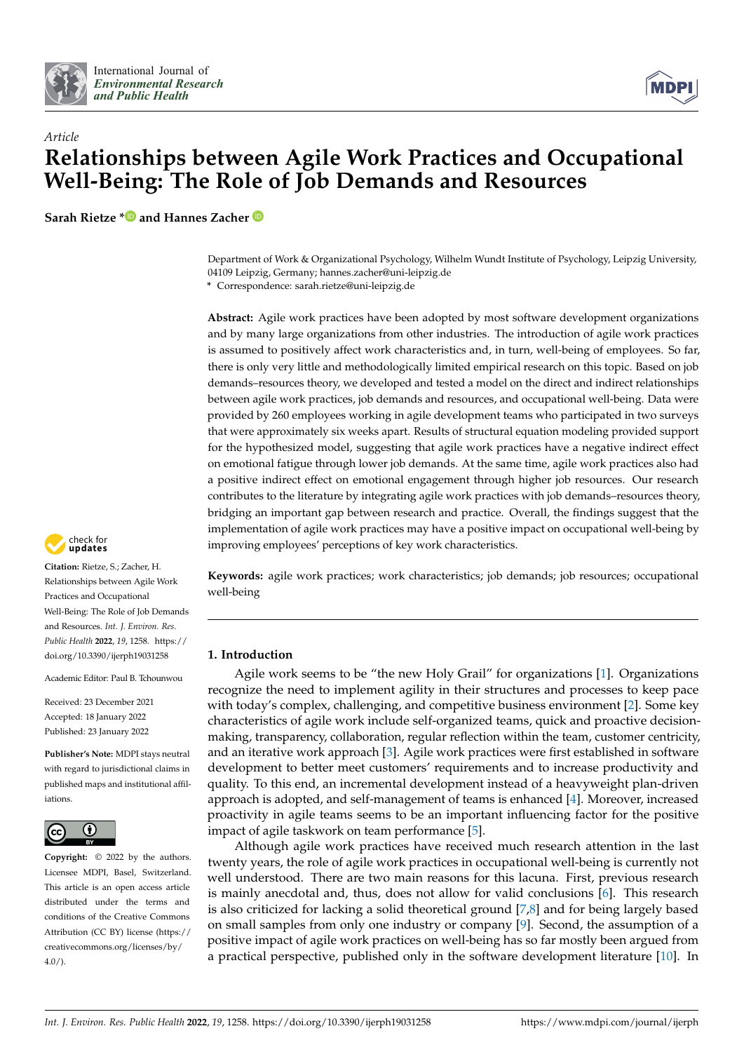



# *Article* **Relationships between Agile Work Practices and Occupational Well-Being: The Role of Job Demands and Resources**

**Sarah Rietze [\\*](https://orcid.org/0000-0001-6211-8627) and Hannes Zacher**

Department of Work & Organizational Psychology, Wilhelm Wundt Institute of Psychology, Leipzig University, 04109 Leipzig, Germany; hannes.zacher@uni-leipzig.de

**\*** Correspondence: sarah.rietze@uni-leipzig.de

**Abstract:** Agile work practices have been adopted by most software development organizations and by many large organizations from other industries. The introduction of agile work practices is assumed to positively affect work characteristics and, in turn, well-being of employees. So far, there is only very little and methodologically limited empirical research on this topic. Based on job demands–resources theory, we developed and tested a model on the direct and indirect relationships between agile work practices, job demands and resources, and occupational well-being. Data were provided by 260 employees working in agile development teams who participated in two surveys that were approximately six weeks apart. Results of structural equation modeling provided support for the hypothesized model, suggesting that agile work practices have a negative indirect effect on emotional fatigue through lower job demands. At the same time, agile work practices also had a positive indirect effect on emotional engagement through higher job resources. Our research contributes to the literature by integrating agile work practices with job demands–resources theory, bridging an important gap between research and practice. Overall, the findings suggest that the implementation of agile work practices may have a positive impact on occupational well-being by improving employees' perceptions of key work characteristics.

**Keywords:** agile work practices; work characteristics; job demands; job resources; occupational well-being

# **1. Introduction**

Agile work seems to be "the new Holy Grail" for organizations [\[1\]](#page-20-0). Organizations recognize the need to implement agility in their structures and processes to keep pace with today's complex, challenging, and competitive business environment [\[2\]](#page-20-1). Some key characteristics of agile work include self-organized teams, quick and proactive decisionmaking, transparency, collaboration, regular reflection within the team, customer centricity, and an iterative work approach [\[3\]](#page-20-2). Agile work practices were first established in software development to better meet customers' requirements and to increase productivity and quality. To this end, an incremental development instead of a heavyweight plan-driven approach is adopted, and self-management of teams is enhanced [\[4\]](#page-20-3). Moreover, increased proactivity in agile teams seems to be an important influencing factor for the positive impact of agile taskwork on team performance [\[5\]](#page-20-4).

Although agile work practices have received much research attention in the last twenty years, the role of agile work practices in occupational well-being is currently not well understood. There are two main reasons for this lacuna. First, previous research is mainly anecdotal and, thus, does not allow for valid conclusions [\[6\]](#page-20-5). This research is also criticized for lacking a solid theoretical ground [\[7](#page-20-6)[,8\]](#page-20-7) and for being largely based on small samples from only one industry or company [\[9\]](#page-20-8). Second, the assumption of a positive impact of agile work practices on well-being has so far mostly been argued from a practical perspective, published only in the software development literature [\[10\]](#page-20-9). In



**Citation:** Rietze, S.; Zacher, H. Relationships between Agile Work Practices and Occupational Well-Being: The Role of Job Demands and Resources. *Int. J. Environ. Res. Public Health* **2022**, *19*, 1258. [https://](https://doi.org/10.3390/ijerph19031258) [doi.org/10.3390/ijerph19031258](https://doi.org/10.3390/ijerph19031258)

Academic Editor: Paul B. Tchounwou

Received: 23 December 2021 Accepted: 18 January 2022 Published: 23 January 2022

**Publisher's Note:** MDPI stays neutral with regard to jurisdictional claims in published maps and institutional affiliations.



**Copyright:** © 2022 by the authors. Licensee MDPI, Basel, Switzerland. This article is an open access article distributed under the terms and conditions of the Creative Commons Attribution (CC BY) license [\(https://](https://creativecommons.org/licenses/by/4.0/) [creativecommons.org/licenses/by/](https://creativecommons.org/licenses/by/4.0/)  $4.0/$ ).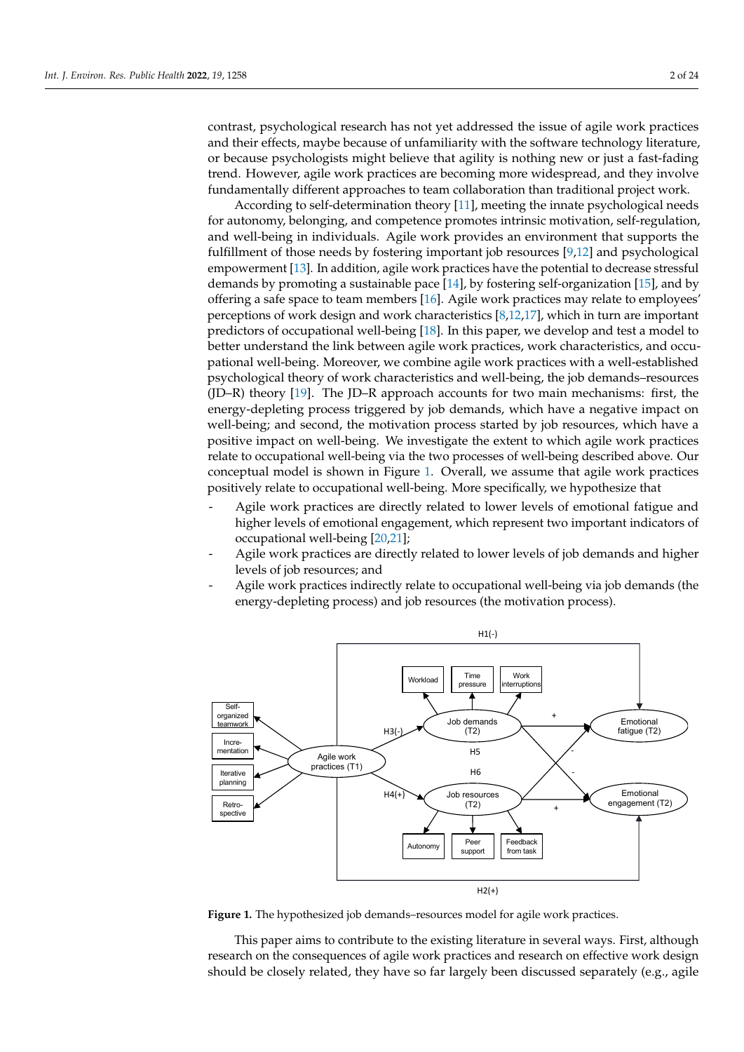contrast, psychological research has not yet addressed the issue of agile work practices and their effects, maybe because of unfamiliarity with the software technology literature, or because psychologists might believe that agility is nothing new or just a fast-fading trend. However, agile work practices are becoming more widespread, and they involve fundamentally different approaches to team collaboration than traditional project work.

According to self-determination theory  $[11]$ , meeting the innate psychological needs for autonomy, belonging, and competence promotes intrinsic motivation, self-regulation, and well-being in individuals. Agile work provides an environment that supports the fulfillment of those needs by fostering important job resources  $[9,12]$  $[9,12]$  and psychological empowerment [\[13\]](#page-20-12). In addition, agile work practices have the potential to decrease stressful demands by promoting a sustainable pace  $[14]$ , by fostering self-organization  $[15]$ , and by offering a safe space to team members [\[16\]](#page-20-15). Agile work practices may relate to employees' perceptions of work design and work characteristics  $[8,12,17]$  $[8,12,17]$  $[8,12,17]$ , which in turn are important predictors of occupational well-being  $[18]$ . In this paper, we develop and test a model to better understand the link between agile work practices, work characteristics, and occupational well-being. Moreover, we combine agile work practices with a well-established psychological theory of work characteristics and well-being, the job demands–resources (JD–R) theory [\[19\]](#page-20-18). The JD–R approach accounts for two main mechanisms: first, the energy-depleting process triggered by job demands, which have a negative impact on well-being; and second, the motivation process started by job resources, which have a positive impact on well-being. We investigate the extent to which agile work practices relate to occupational well-being via the two processes of well-being described above. Our conceptual model is shown in Figure [1.](#page-1-0) Overall, we assume that agile work practices positively relate to occupational well-being. More specifically, we hypothesize that

- Agile work practices are directly related to lower levels of emotional fatigue and higher levels of emotional engagement, which represent two important indicators of occupational well-bei[ng](#page-20-20)  $[20,21]$ ;
- Agile work practices are directly related to lower levels of job demands and higher levels of job resources; and  $\mathcal{A}$
- Agile work practices indirectly relate to occupational well-being via job demands (the energy-depleting process) and job resources (the motivation process).

<span id="page-1-0"></span>

**Figure 1.** The hypothesized job demands–resources model for agile work practices. **Figure 1.** The hypothesized job demands–resources model for agile work practices.

This paper aims to contribute to the existing literature in several ways. First, although research on the consequences of agile work practices and research on effective work design should be closely related, they have so far largely been discussed separately (e.g., agile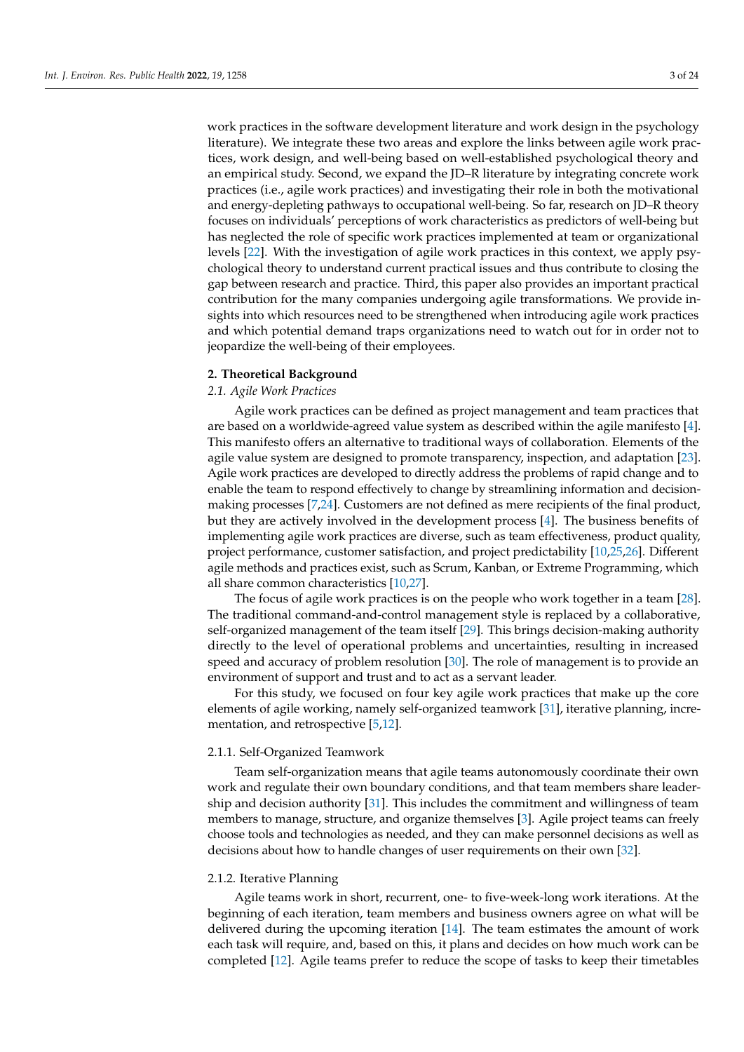work practices in the software development literature and work design in the psychology literature). We integrate these two areas and explore the links between agile work practices, work design, and well-being based on well-established psychological theory and an empirical study. Second, we expand the JD–R literature by integrating concrete work practices (i.e., agile work practices) and investigating their role in both the motivational and energy-depleting pathways to occupational well-being. So far, research on JD–R theory focuses on individuals' perceptions of work characteristics as predictors of well-being but has neglected the role of specific work practices implemented at team or organizational levels [\[22\]](#page-20-21). With the investigation of agile work practices in this context, we apply psychological theory to understand current practical issues and thus contribute to closing the gap between research and practice. Third, this paper also provides an important practical contribution for the many companies undergoing agile transformations. We provide insights into which resources need to be strengthened when introducing agile work practices and which potential demand traps organizations need to watch out for in order not to jeopardize the well-being of their employees.

# **2. Theoretical Background**

# *2.1. Agile Work Practices*

Agile work practices can be defined as project management and team practices that are based on a worldwide-agreed value system as described within the agile manifesto [\[4\]](#page-20-3). This manifesto offers an alternative to traditional ways of collaboration. Elements of the agile value system are designed to promote transparency, inspection, and adaptation [\[23\]](#page-20-22). Agile work practices are developed to directly address the problems of rapid change and to enable the team to respond effectively to change by streamlining information and decisionmaking processes [\[7,](#page-20-6)[24\]](#page-20-23). Customers are not defined as mere recipients of the final product, but they are actively involved in the development process [\[4\]](#page-20-3). The business benefits of implementing agile work practices are diverse, such as team effectiveness, product quality, project performance, customer satisfaction, and project predictability [\[10](#page-20-9)[,25](#page-20-24)[,26\]](#page-21-0). Different agile methods and practices exist, such as Scrum, Kanban, or Extreme Programming, which all share common characteristics [\[10,](#page-20-9)[27\]](#page-21-1).

The focus of agile work practices is on the people who work together in a team [\[28\]](#page-21-2). The traditional command-and-control management style is replaced by a collaborative, self-organized management of the team itself [\[29\]](#page-21-3). This brings decision-making authority directly to the level of operational problems and uncertainties, resulting in increased speed and accuracy of problem resolution [\[30\]](#page-21-4). The role of management is to provide an environment of support and trust and to act as a servant leader.

For this study, we focused on four key agile work practices that make up the core elements of agile working, namely self-organized teamwork [\[31\]](#page-21-5), iterative planning, incrementation, and retrospective [\[5](#page-20-4)[,12\]](#page-20-11).

## 2.1.1. Self-Organized Teamwork

Team self-organization means that agile teams autonomously coordinate their own work and regulate their own boundary conditions, and that team members share leadership and decision authority [\[31\]](#page-21-5). This includes the commitment and willingness of team members to manage, structure, and organize themselves [\[3\]](#page-20-2). Agile project teams can freely choose tools and technologies as needed, and they can make personnel decisions as well as decisions about how to handle changes of user requirements on their own [\[32\]](#page-21-6).

## 2.1.2. Iterative Planning

Agile teams work in short, recurrent, one- to five-week-long work iterations. At the beginning of each iteration, team members and business owners agree on what will be delivered during the upcoming iteration [\[14\]](#page-20-13). The team estimates the amount of work each task will require, and, based on this, it plans and decides on how much work can be completed [\[12\]](#page-20-11). Agile teams prefer to reduce the scope of tasks to keep their timetables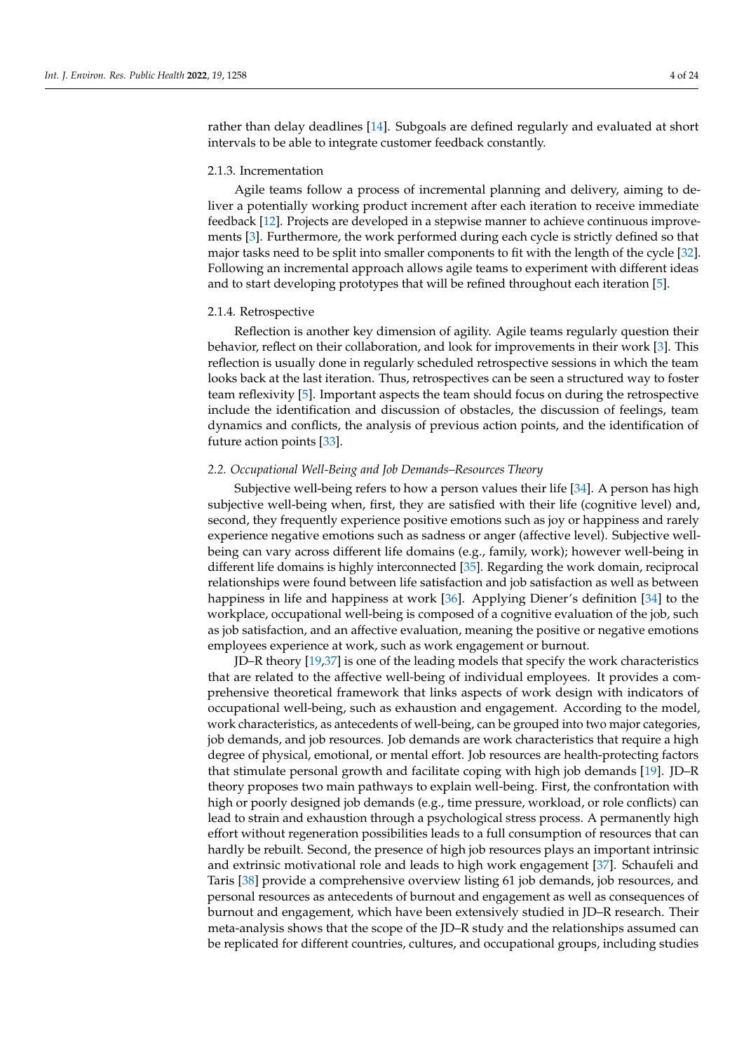rather than delay deadlines [\[14\]](#page-20-13). Subgoals are defined regularly and evaluated at short intervals to be able to integrate customer feedback constantly.

#### 2.1.3. Incrementation

Agile teams follow a process of incremental planning and delivery, aiming to deliver a potentially working product increment after each iteration to receive immediate feedback [\[12\]](#page-20-11). Projects are developed in a stepwise manner to achieve continuous improvements [\[3\]](#page-20-2). Furthermore, the work performed during each cycle is strictly defined so that major tasks need to be split into smaller components to fit with the length of the cycle [\[32\]](#page-21-6). Following an incremental approach allows agile teams to experiment with different ideas and to start developing prototypes that will be refined throughout each iteration [\[5\]](#page-20-4).

## 2.1.4. Retrospective

Reflection is another key dimension of agility. Agile teams regularly question their behavior, reflect on their collaboration, and look for improvements in their work [\[3\]](#page-20-2). This reflection is usually done in regularly scheduled retrospective sessions in which the team looks back at the last iteration. Thus, retrospectives can be seen a structured way to foster team reflexivity [\[5\]](#page-20-4). Important aspects the team should focus on during the retrospective include the identification and discussion of obstacles, the discussion of feelings, team dynamics and conflicts, the analysis of previous action points, and the identification of future action points [\[33\]](#page-21-7).

## *2.2. Occupational Well-Being and Job Demands–Resources Theory*

Subjective well-being refers to how a person values their life [\[34\]](#page-21-8). A person has high subjective well-being when, first, they are satisfied with their life (cognitive level) and, second, they frequently experience positive emotions such as joy or happiness and rarely experience negative emotions such as sadness or anger (affective level). Subjective wellbeing can vary across different life domains (e.g., family, work); however well-being in different life domains is highly interconnected [\[35\]](#page-21-9). Regarding the work domain, reciprocal relationships were found between life satisfaction and job satisfaction as well as between happiness in life and happiness at work [\[36\]](#page-21-10). Applying Diener's definition [\[34\]](#page-21-8) to the workplace, occupational well-being is composed of a cognitive evaluation of the job, such as job satisfaction, and an affective evaluation, meaning the positive or negative emotions employees experience at work, such as work engagement or burnout.

JD–R theory [\[19](#page-20-18)[,37\]](#page-21-11) is one of the leading models that specify the work characteristics that are related to the affective well-being of individual employees. It provides a comprehensive theoretical framework that links aspects of work design with indicators of occupational well-being, such as exhaustion and engagement. According to the model, work characteristics, as antecedents of well-being, can be grouped into two major categories, job demands, and job resources. Job demands are work characteristics that require a high degree of physical, emotional, or mental effort. Job resources are health-protecting factors that stimulate personal growth and facilitate coping with high job demands [\[19\]](#page-20-18). JD–R theory proposes two main pathways to explain well-being. First, the confrontation with high or poorly designed job demands (e.g., time pressure, workload, or role conflicts) can lead to strain and exhaustion through a psychological stress process. A permanently high effort without regeneration possibilities leads to a full consumption of resources that can hardly be rebuilt. Second, the presence of high job resources plays an important intrinsic and extrinsic motivational role and leads to high work engagement [\[37\]](#page-21-11). Schaufeli and Taris [\[38\]](#page-21-12) provide a comprehensive overview listing 61 job demands, job resources, and personal resources as antecedents of burnout and engagement as well as consequences of burnout and engagement, which have been extensively studied in JD–R research. Their meta-analysis shows that the scope of the JD–R study and the relationships assumed can be replicated for different countries, cultures, and occupational groups, including studies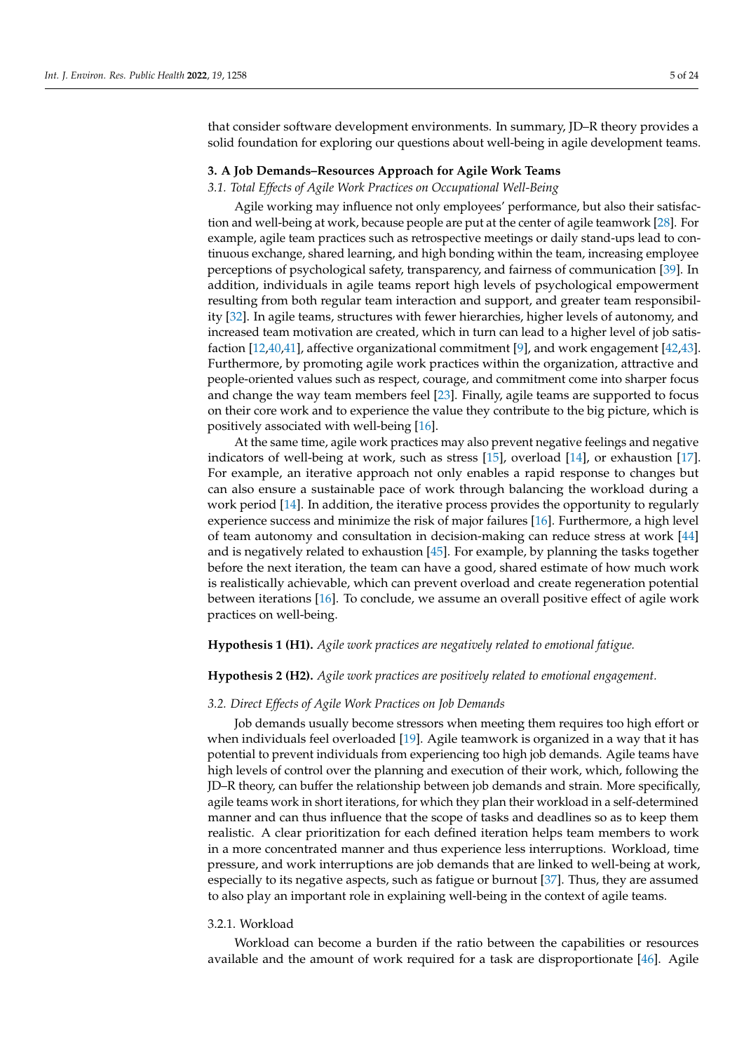that consider software development environments. In summary, JD–R theory provides a solid foundation for exploring our questions about well-being in agile development teams.

#### **3. A Job Demands–Resources Approach for Agile Work Teams**

#### *3.1. Total Effects of Agile Work Practices on Occupational Well-Being*

Agile working may influence not only employees' performance, but also their satisfaction and well-being at work, because people are put at the center of agile teamwork [\[28\]](#page-21-2). For example, agile team practices such as retrospective meetings or daily stand-ups lead to continuous exchange, shared learning, and high bonding within the team, increasing employee perceptions of psychological safety, transparency, and fairness of communication [\[39\]](#page-21-13). In addition, individuals in agile teams report high levels of psychological empowerment resulting from both regular team interaction and support, and greater team responsibility [\[32\]](#page-21-6). In agile teams, structures with fewer hierarchies, higher levels of autonomy, and increased team motivation are created, which in turn can lead to a higher level of job satisfaction [\[12](#page-20-11)[,40](#page-21-14)[,41\]](#page-21-15), affective organizational commitment [\[9\]](#page-20-8), and work engagement [\[42,](#page-21-16)[43\]](#page-21-17). Furthermore, by promoting agile work practices within the organization, attractive and people-oriented values such as respect, courage, and commitment come into sharper focus and change the way team members feel [\[23\]](#page-20-22). Finally, agile teams are supported to focus on their core work and to experience the value they contribute to the big picture, which is positively associated with well-being [\[16\]](#page-20-15).

At the same time, agile work practices may also prevent negative feelings and negative indicators of well-being at work, such as stress [\[15\]](#page-20-14), overload [\[14\]](#page-20-13), or exhaustion [\[17\]](#page-20-16). For example, an iterative approach not only enables a rapid response to changes but can also ensure a sustainable pace of work through balancing the workload during a work period [\[14\]](#page-20-13). In addition, the iterative process provides the opportunity to regularly experience success and minimize the risk of major failures [\[16\]](#page-20-15). Furthermore, a high level of team autonomy and consultation in decision-making can reduce stress at work [\[44\]](#page-21-18) and is negatively related to exhaustion [\[45\]](#page-21-19). For example, by planning the tasks together before the next iteration, the team can have a good, shared estimate of how much work is realistically achievable, which can prevent overload and create regeneration potential between iterations [\[16\]](#page-20-15). To conclude, we assume an overall positive effect of agile work practices on well-being.

## **Hypothesis 1 (H1).** *Agile work practices are negatively related to emotional fatigue.*

## **Hypothesis 2 (H2).** *Agile work practices are positively related to emotional engagement.*

## *3.2. Direct Effects of Agile Work Practices on Job Demands*

Job demands usually become stressors when meeting them requires too high effort or when individuals feel overloaded [\[19\]](#page-20-18). Agile teamwork is organized in a way that it has potential to prevent individuals from experiencing too high job demands. Agile teams have high levels of control over the planning and execution of their work, which, following the JD–R theory, can buffer the relationship between job demands and strain. More specifically, agile teams work in short iterations, for which they plan their workload in a self-determined manner and can thus influence that the scope of tasks and deadlines so as to keep them realistic. A clear prioritization for each defined iteration helps team members to work in a more concentrated manner and thus experience less interruptions. Workload, time pressure, and work interruptions are job demands that are linked to well-being at work, especially to its negative aspects, such as fatigue or burnout [\[37\]](#page-21-11). Thus, they are assumed to also play an important role in explaining well-being in the context of agile teams.

## 3.2.1. Workload

Workload can become a burden if the ratio between the capabilities or resources available and the amount of work required for a task are disproportionate [\[46\]](#page-21-20). Agile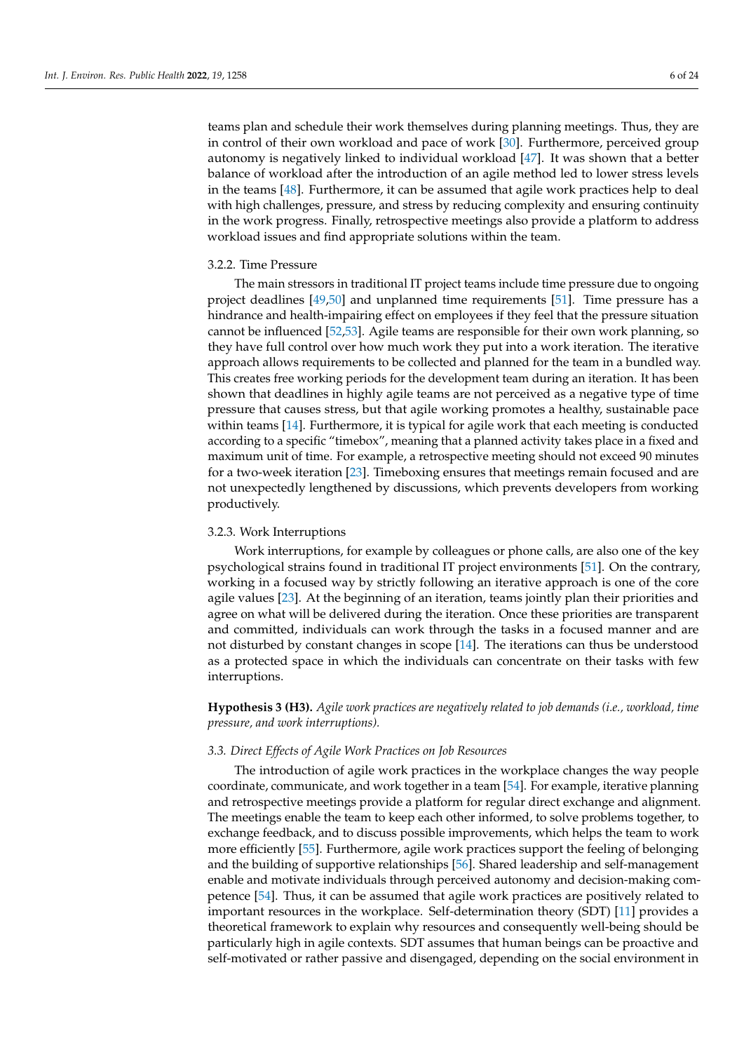## 3.2.2. Time Pressure

The main stressors in traditional IT project teams include time pressure due to ongoing project deadlines [\[49](#page-21-23)[,50\]](#page-21-24) and unplanned time requirements [\[51\]](#page-21-25). Time pressure has a hindrance and health-impairing effect on employees if they feel that the pressure situation cannot be influenced [\[52](#page-21-26)[,53\]](#page-21-27). Agile teams are responsible for their own work planning, so they have full control over how much work they put into a work iteration. The iterative approach allows requirements to be collected and planned for the team in a bundled way. This creates free working periods for the development team during an iteration. It has been shown that deadlines in highly agile teams are not perceived as a negative type of time pressure that causes stress, but that agile working promotes a healthy, sustainable pace within teams [\[14\]](#page-20-13). Furthermore, it is typical for agile work that each meeting is conducted according to a specific "timebox", meaning that a planned activity takes place in a fixed and maximum unit of time. For example, a retrospective meeting should not exceed 90 minutes for a two-week iteration [\[23\]](#page-20-22). Timeboxing ensures that meetings remain focused and are not unexpectedly lengthened by discussions, which prevents developers from working productively.

in the work progress. Finally, retrospective meetings also provide a platform to address

workload issues and find appropriate solutions within the team.

## 3.2.3. Work Interruptions

Work interruptions, for example by colleagues or phone calls, are also one of the key psychological strains found in traditional IT project environments [\[51\]](#page-21-25). On the contrary, working in a focused way by strictly following an iterative approach is one of the core agile values [\[23\]](#page-20-22). At the beginning of an iteration, teams jointly plan their priorities and agree on what will be delivered during the iteration. Once these priorities are transparent and committed, individuals can work through the tasks in a focused manner and are not disturbed by constant changes in scope [\[14\]](#page-20-13). The iterations can thus be understood as a protected space in which the individuals can concentrate on their tasks with few interruptions.

**Hypothesis 3 (H3).** *Agile work practices are negatively related to job demands (i.e., workload, time pressure, and work interruptions).*

## *3.3. Direct Effects of Agile Work Practices on Job Resources*

The introduction of agile work practices in the workplace changes the way people coordinate, communicate, and work together in a team [\[54\]](#page-22-0). For example, iterative planning and retrospective meetings provide a platform for regular direct exchange and alignment. The meetings enable the team to keep each other informed, to solve problems together, to exchange feedback, and to discuss possible improvements, which helps the team to work more efficiently [\[55\]](#page-22-1). Furthermore, agile work practices support the feeling of belonging and the building of supportive relationships [\[56\]](#page-22-2). Shared leadership and self-management enable and motivate individuals through perceived autonomy and decision-making competence [\[54\]](#page-22-0). Thus, it can be assumed that agile work practices are positively related to important resources in the workplace. Self-determination theory (SDT) [\[11\]](#page-20-10) provides a theoretical framework to explain why resources and consequently well-being should be particularly high in agile contexts. SDT assumes that human beings can be proactive and self-motivated or rather passive and disengaged, depending on the social environment in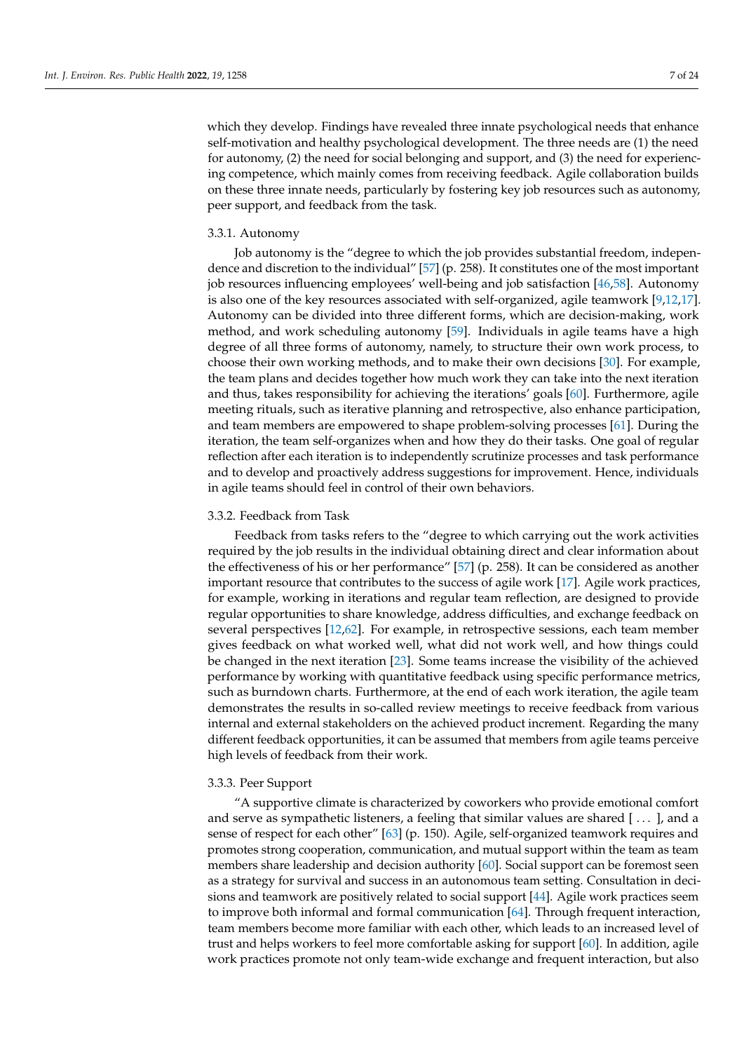which they develop. Findings have revealed three innate psychological needs that enhance self-motivation and healthy psychological development. The three needs are (1) the need for autonomy, (2) the need for social belonging and support, and (3) the need for experiencing competence, which mainly comes from receiving feedback. Agile collaboration builds on these three innate needs, particularly by fostering key job resources such as autonomy, peer support, and feedback from the task.

## 3.3.1. Autonomy

Job autonomy is the "degree to which the job provides substantial freedom, independence and discretion to the individual" [\[57\]](#page-22-3) (p. 258). It constitutes one of the most important job resources influencing employees' well-being and job satisfaction [\[46](#page-21-20)[,58\]](#page-22-4). Autonomy is also one of the key resources associated with self-organized, agile teamwork [\[9,](#page-20-8)[12,](#page-20-11)[17\]](#page-20-16). Autonomy can be divided into three different forms, which are decision-making, work method, and work scheduling autonomy [\[59\]](#page-22-5). Individuals in agile teams have a high degree of all three forms of autonomy, namely, to structure their own work process, to choose their own working methods, and to make their own decisions [\[30\]](#page-21-4). For example, the team plans and decides together how much work they can take into the next iteration and thus, takes responsibility for achieving the iterations' goals [\[60\]](#page-22-6). Furthermore, agile meeting rituals, such as iterative planning and retrospective, also enhance participation, and team members are empowered to shape problem-solving processes [\[61\]](#page-22-7). During the iteration, the team self-organizes when and how they do their tasks. One goal of regular reflection after each iteration is to independently scrutinize processes and task performance and to develop and proactively address suggestions for improvement. Hence, individuals in agile teams should feel in control of their own behaviors.

## 3.3.2. Feedback from Task

Feedback from tasks refers to the "degree to which carrying out the work activities required by the job results in the individual obtaining direct and clear information about the effectiveness of his or her performance" [\[57\]](#page-22-3) (p. 258). It can be considered as another important resource that contributes to the success of agile work [\[17\]](#page-20-16). Agile work practices, for example, working in iterations and regular team reflection, are designed to provide regular opportunities to share knowledge, address difficulties, and exchange feedback on several perspectives [\[12,](#page-20-11)[62\]](#page-22-8). For example, in retrospective sessions, each team member gives feedback on what worked well, what did not work well, and how things could be changed in the next iteration [\[23\]](#page-20-22). Some teams increase the visibility of the achieved performance by working with quantitative feedback using specific performance metrics, such as burndown charts. Furthermore, at the end of each work iteration, the agile team demonstrates the results in so-called review meetings to receive feedback from various internal and external stakeholders on the achieved product increment. Regarding the many different feedback opportunities, it can be assumed that members from agile teams perceive high levels of feedback from their work.

## 3.3.3. Peer Support

"A supportive climate is characterized by coworkers who provide emotional comfort and serve as sympathetic listeners, a feeling that similar values are shared [...], and a sense of respect for each other" [\[63\]](#page-22-9) (p. 150). Agile, self-organized teamwork requires and promotes strong cooperation, communication, and mutual support within the team as team members share leadership and decision authority [\[60\]](#page-22-6). Social support can be foremost seen as a strategy for survival and success in an autonomous team setting. Consultation in decisions and teamwork are positively related to social support [\[44\]](#page-21-18). Agile work practices seem to improve both informal and formal communication [\[64\]](#page-22-10). Through frequent interaction, team members become more familiar with each other, which leads to an increased level of trust and helps workers to feel more comfortable asking for support [\[60\]](#page-22-6). In addition, agile work practices promote not only team-wide exchange and frequent interaction, but also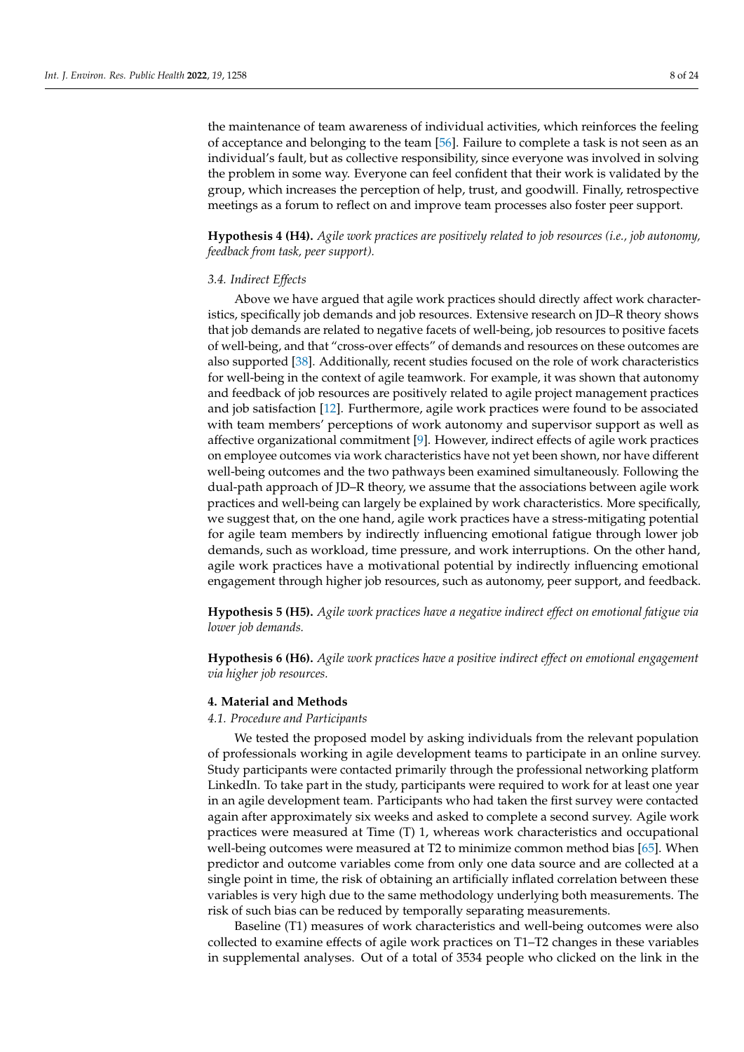the maintenance of team awareness of individual activities, which reinforces the feeling of acceptance and belonging to the team [\[56\]](#page-22-2). Failure to complete a task is not seen as an individual's fault, but as collective responsibility, since everyone was involved in solving the problem in some way. Everyone can feel confident that their work is validated by the group, which increases the perception of help, trust, and goodwill. Finally, retrospective meetings as a forum to reflect on and improve team processes also foster peer support.

**Hypothesis 4 (H4).** *Agile work practices are positively related to job resources (i.e., job autonomy, feedback from task, peer support).*

## *3.4. Indirect Effects*

Above we have argued that agile work practices should directly affect work characteristics, specifically job demands and job resources. Extensive research on JD–R theory shows that job demands are related to negative facets of well-being, job resources to positive facets of well-being, and that "cross-over effects" of demands and resources on these outcomes are also supported [\[38\]](#page-21-12). Additionally, recent studies focused on the role of work characteristics for well-being in the context of agile teamwork. For example, it was shown that autonomy and feedback of job resources are positively related to agile project management practices and job satisfaction [\[12\]](#page-20-11). Furthermore, agile work practices were found to be associated with team members' perceptions of work autonomy and supervisor support as well as affective organizational commitment [\[9\]](#page-20-8). However, indirect effects of agile work practices on employee outcomes via work characteristics have not yet been shown, nor have different well-being outcomes and the two pathways been examined simultaneously. Following the dual-path approach of JD–R theory, we assume that the associations between agile work practices and well-being can largely be explained by work characteristics. More specifically, we suggest that, on the one hand, agile work practices have a stress-mitigating potential for agile team members by indirectly influencing emotional fatigue through lower job demands, such as workload, time pressure, and work interruptions. On the other hand, agile work practices have a motivational potential by indirectly influencing emotional engagement through higher job resources, such as autonomy, peer support, and feedback.

**Hypothesis 5 (H5).** *Agile work practices have a negative indirect effect on emotional fatigue via lower job demands.*

**Hypothesis 6 (H6).** *Agile work practices have a positive indirect effect on emotional engagement via higher job resources.*

## **4. Material and Methods**

# *4.1. Procedure and Participants*

We tested the proposed model by asking individuals from the relevant population of professionals working in agile development teams to participate in an online survey. Study participants were contacted primarily through the professional networking platform LinkedIn. To take part in the study, participants were required to work for at least one year in an agile development team. Participants who had taken the first survey were contacted again after approximately six weeks and asked to complete a second survey. Agile work practices were measured at Time (T) 1, whereas work characteristics and occupational well-being outcomes were measured at T2 to minimize common method bias [\[65\]](#page-22-11). When predictor and outcome variables come from only one data source and are collected at a single point in time, the risk of obtaining an artificially inflated correlation between these variables is very high due to the same methodology underlying both measurements. The risk of such bias can be reduced by temporally separating measurements.

Baseline (T1) measures of work characteristics and well-being outcomes were also collected to examine effects of agile work practices on T1–T2 changes in these variables in supplemental analyses. Out of a total of 3534 people who clicked on the link in the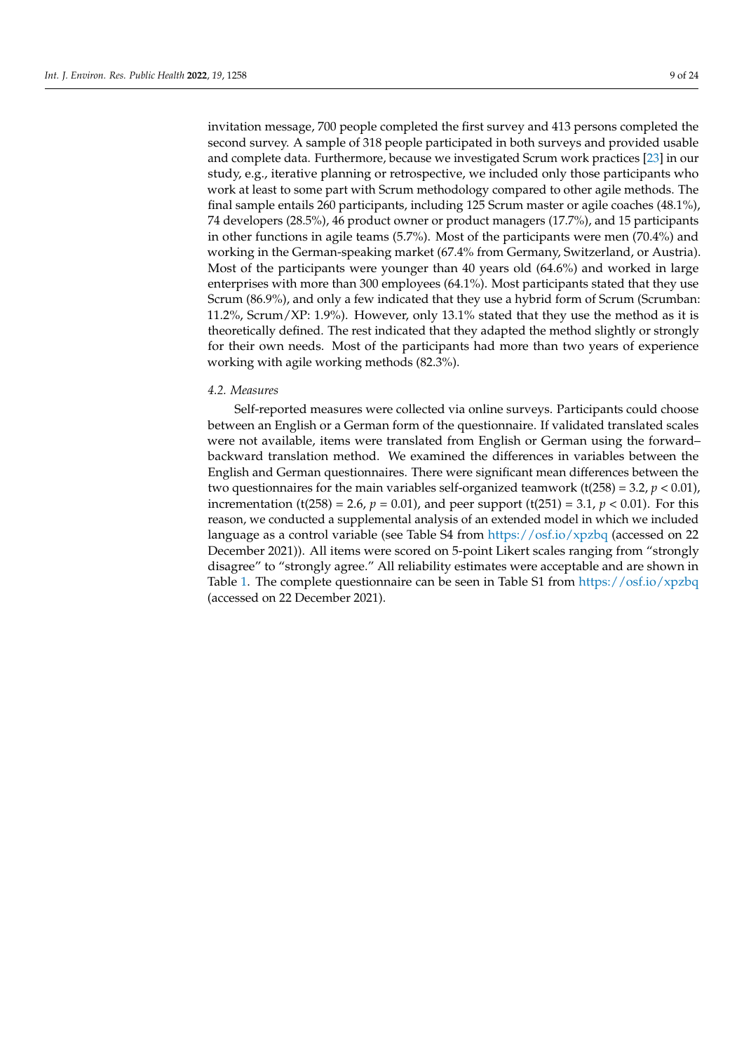invitation message, 700 people completed the first survey and 413 persons completed the second survey. A sample of 318 people participated in both surveys and provided usable and complete data. Furthermore, because we investigated Scrum work practices [\[23\]](#page-20-22) in our study, e.g., iterative planning or retrospective, we included only those participants who work at least to some part with Scrum methodology compared to other agile methods. The final sample entails 260 participants, including 125 Scrum master or agile coaches (48.1%), 74 developers (28.5%), 46 product owner or product managers (17.7%), and 15 participants in other functions in agile teams (5.7%). Most of the participants were men (70.4%) and working in the German-speaking market (67.4% from Germany, Switzerland, or Austria). Most of the participants were younger than 40 years old (64.6%) and worked in large enterprises with more than 300 employees (64.1%). Most participants stated that they use Scrum (86.9%), and only a few indicated that they use a hybrid form of Scrum (Scrumban: 11.2%, Scrum/XP: 1.9%). However, only 13.1% stated that they use the method as it is theoretically defined. The rest indicated that they adapted the method slightly or strongly for their own needs. Most of the participants had more than two years of experience working with agile working methods (82.3%).

#### *4.2. Measures*

Self-reported measures were collected via online surveys. Participants could choose between an English or a German form of the questionnaire. If validated translated scales were not available, items were translated from English or German using the forward– backward translation method. We examined the differences in variables between the English and German questionnaires. There were significant mean differences between the two questionnaires for the main variables self-organized teamwork ( $t(258) = 3.2$ ,  $p < 0.01$ ), incrementation (t(258) = 2.6,  $p = 0.01$ ), and peer support (t(251) = 3.1,  $p < 0.01$ ). For this reason, we conducted a supplemental analysis of an extended model in which we included language as a control variable (see Table S4 from <https://osf.io/xpzbq> (accessed on 22 December 2021)). All items were scored on 5-point Likert scales ranging from "strongly disagree" to "strongly agree." All reliability estimates were acceptable and are shown in Table [1.](#page-10-0) The complete questionnaire can be seen in Table S1 from <https://osf.io/xpzbq> (accessed on 22 December 2021).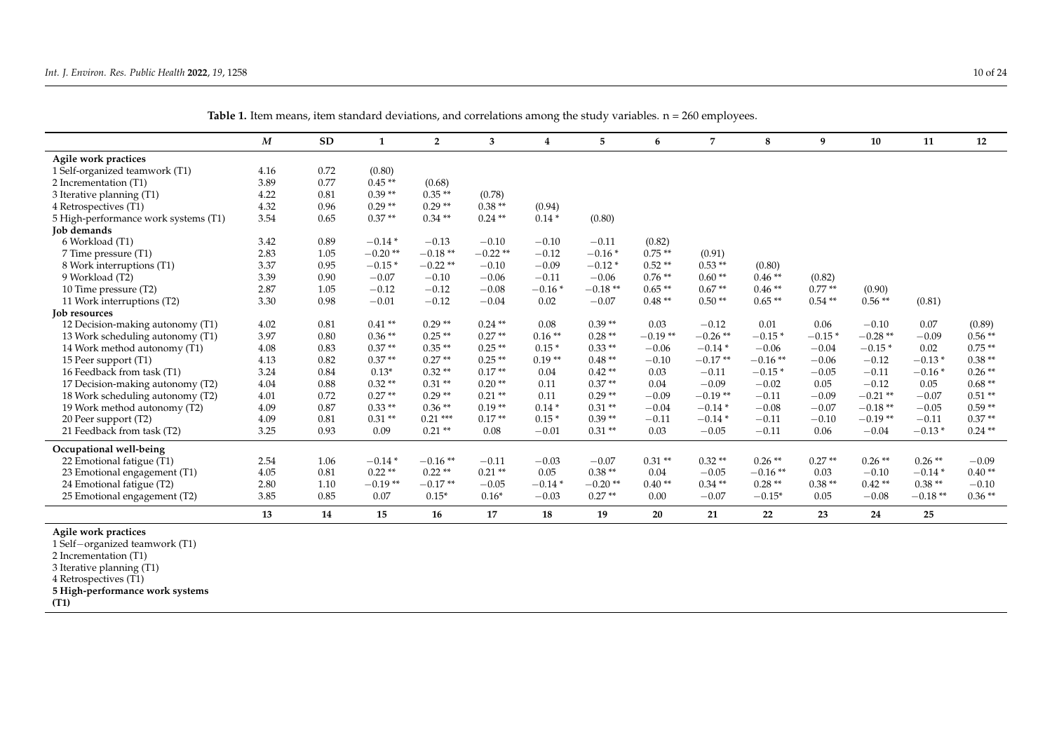|                                      | $\boldsymbol{M}$ | <b>SD</b> | 1         | $\overline{2}$ | 3         | 4        | 5         | 6         | 7          | 8         | 9        | 10         | 11        | 12        |
|--------------------------------------|------------------|-----------|-----------|----------------|-----------|----------|-----------|-----------|------------|-----------|----------|------------|-----------|-----------|
| Agile work practices                 |                  |           |           |                |           |          |           |           |            |           |          |            |           |           |
| 1 Self-organized teamwork (T1)       | 4.16             | 0.72      | (0.80)    |                |           |          |           |           |            |           |          |            |           |           |
| 2 Incrementation (T1)                | 3.89             | 0.77      | $0.45**$  | (0.68)         |           |          |           |           |            |           |          |            |           |           |
| 3 Iterative planning (T1)            | 4.22             | 0.81      | $0.39**$  | $0.35**$       | (0.78)    |          |           |           |            |           |          |            |           |           |
| 4 Retrospectives (T1)                | 4.32             | 0.96      | $0.29**$  | $0.29**$       | $0.38**$  | (0.94)   |           |           |            |           |          |            |           |           |
| 5 High-performance work systems (T1) | 3.54             | 0.65      | $0.37**$  | $0.34**$       | $0.24**$  | $0.14*$  | (0.80)    |           |            |           |          |            |           |           |
| <b>Job demands</b>                   |                  |           |           |                |           |          |           |           |            |           |          |            |           |           |
| 6 Workload (T1)                      | 3.42             | 0.89      | $-0.14*$  | $-0.13$        | $-0.10$   | $-0.10$  | $-0.11$   | (0.82)    |            |           |          |            |           |           |
| 7 Time pressure (T1)                 | 2.83             | 1.05      | $-0.20**$ | $-0.18**$      | $-0.22**$ | $-0.12$  | $-0.16*$  | $0.75**$  | (0.91)     |           |          |            |           |           |
| 8 Work interruptions (T1)            | 3.37             | 0.95      | $-0.15*$  | $-0.22**$      | $-0.10$   | $-0.09$  | $-0.12*$  | $0.52**$  | $0.53**$   | (0.80)    |          |            |           |           |
| 9 Workload (T2)                      | 3.39             | 0.90      | $-0.07$   | $-0.10$        | $-0.06$   | $-0.11$  | $-0.06$   | $0.76**$  | $0.60**$   | $0.46**$  | (0.82)   |            |           |           |
| 10 Time pressure (T2)                | 2.87             | 1.05      | $-0.12$   | $-0.12$        | $-0.08$   | $-0.16*$ | $-0.18**$ | $0.65**$  | $0.67**$   | $0.46**$  | $0.77**$ | (0.90)     |           |           |
| 11 Work interruptions (T2)           | 3.30             | 0.98      | $-0.01$   | $-0.12$        | $-0.04$   | 0.02     | $-0.07$   | $0.48**$  | $0.50**$   | $0.65**$  | $0.54**$ | $0.56**$   | (0.81)    |           |
| Job resources                        |                  |           |           |                |           |          |           |           |            |           |          |            |           |           |
| 12 Decision-making autonomy (T1)     | 4.02             | 0.81      | $0.41**$  | $0.29**$       | $0.24$ ** | 0.08     | $0.39**$  | 0.03      | $-0.12$    | 0.01      | 0.06     | $-0.10$    | 0.07      | (0.89)    |
| 13 Work scheduling autonomy (T1)     | 3.97             | 0.80      | $0.36**$  | $0.25**$       | $0.27**$  | $0.16**$ | $0.28**$  | $-0.19**$ | $-0.26$ ** | $-0.15*$  | $-0.15*$ | $-0.28**$  | $-0.09$   | $0.56**$  |
| 14 Work method autonomy (T1)         | 4.08             | 0.83      | $0.37**$  | $0.35**$       | $0.25**$  | $0.15*$  | $0.33**$  | $-0.06$   | $-0.14*$   | $-0.06$   | $-0.04$  | $-0.15*$   | 0.02      | $0.75**$  |
| 15 Peer support (T1)                 | 4.13             | 0.82      | $0.37**$  | $0.27**$       | $0.25**$  | $0.19**$ | $0.48**$  | $-0.10$   | $-0.17**$  | $-0.16**$ | $-0.06$  | $-0.12$    | $-0.13*$  | $0.38**$  |
| 16 Feedback from task (T1)           | 3.24             | 0.84      | $0.13*$   | $0.32**$       | $0.17**$  | 0.04     | $0.42**$  | 0.03      | $-0.11$    | $-0.15*$  | $-0.05$  | $-0.11$    | $-0.16*$  | $0.26**$  |
| 17 Decision-making autonomy (T2)     | 4.04             | 0.88      | $0.32**$  | $0.31**$       | $0.20**$  | 0.11     | $0.37**$  | 0.04      | $-0.09$    | $-0.02$   | 0.05     | $-0.12$    | 0.05      | $0.68**$  |
| 18 Work scheduling autonomy (T2)     | 4.01             | 0.72      | $0.27**$  | $0.29**$       | $0.21**$  | 0.11     | $0.29**$  | $-0.09$   | $-0.19**$  | $-0.11$   | $-0.09$  | $-0.21$ ** | $-0.07$   | $0.51**$  |
| 19 Work method autonomy (T2)         | 4.09             | 0.87      | $0.33**$  | $0.36**$       | $0.19**$  | $0.14*$  | $0.31**$  | $-0.04$   | $-0.14*$   | $-0.08$   | $-0.07$  | $-0.18**$  | $-0.05$   | $0.59**$  |
| 20 Peer support (T2)                 | 4.09             | 0.81      | $0.31**$  | $0.21***$      | $0.17**$  | $0.15*$  | $0.39**$  | $-0.11$   | $-0.14*$   | $-0.11$   | $-0.10$  | $-0.19**$  | $-0.11$   | $0.37**$  |
| 21 Feedback from task (T2)           | 3.25             | 0.93      | 0.09      | $0.21**$       | 0.08      | $-0.01$  | $0.31**$  | 0.03      | $-0.05$    | $-0.11$   | 0.06     | $-0.04$    | $-0.13*$  | $0.24$ ** |
| Occupational well-being              |                  |           |           |                |           |          |           |           |            |           |          |            |           |           |
| 22 Emotional fatigue (T1)            | 2.54             | 1.06      | $-0.14*$  | $-0.16**$      | $-0.11$   | $-0.03$  | $-0.07$   | $0.31**$  | $0.32**$   | $0.26**$  | $0.27**$ | $0.26$ **  | $0.26**$  | $-0.09$   |
| 23 Emotional engagement (T1)         | 4.05             | 0.81      | $0.22$ ** | $0.22**$       | $0.21**$  | 0.05     | $0.38**$  | 0.04      | $-0.05$    | $-0.16**$ | 0.03     | $-0.10$    | $-0.14*$  | $0.40**$  |
| 24 Emotional fatigue (T2)            | 2.80             | 1.10      | $-0.19**$ | $-0.17**$      | $-0.05$   | $-0.14*$ | $-0.20**$ | $0.40**$  | $0.34**$   | $0.28**$  | $0.38**$ | $0.42**$   | $0.38**$  | $-0.10$   |
| 25 Emotional engagement (T2)         | 3.85             | 0.85      | 0.07      | $0.15*$        | $0.16*$   | $-0.03$  | $0.27**$  | 0.00      | $-0.07$    | $-0.15*$  | 0.05     | $-0.08$    | $-0.18**$ | $0.36**$  |
|                                      | 13               | 14        | 15        | 16             | 17        | 18       | 19        | 20        | 21         | 22        | 23       | 24         | 25        |           |

Table 1. Item means, item standard deviations, and correlations among the study variables. n = 260 employees.

**Agile work practices**

1 Self−organized teamwork (T1)

2 Incrementation (T1)

3 Iterative planning (T1)

4 Retrospectives (T1)

**5 High-performance work systems**

**(T1)**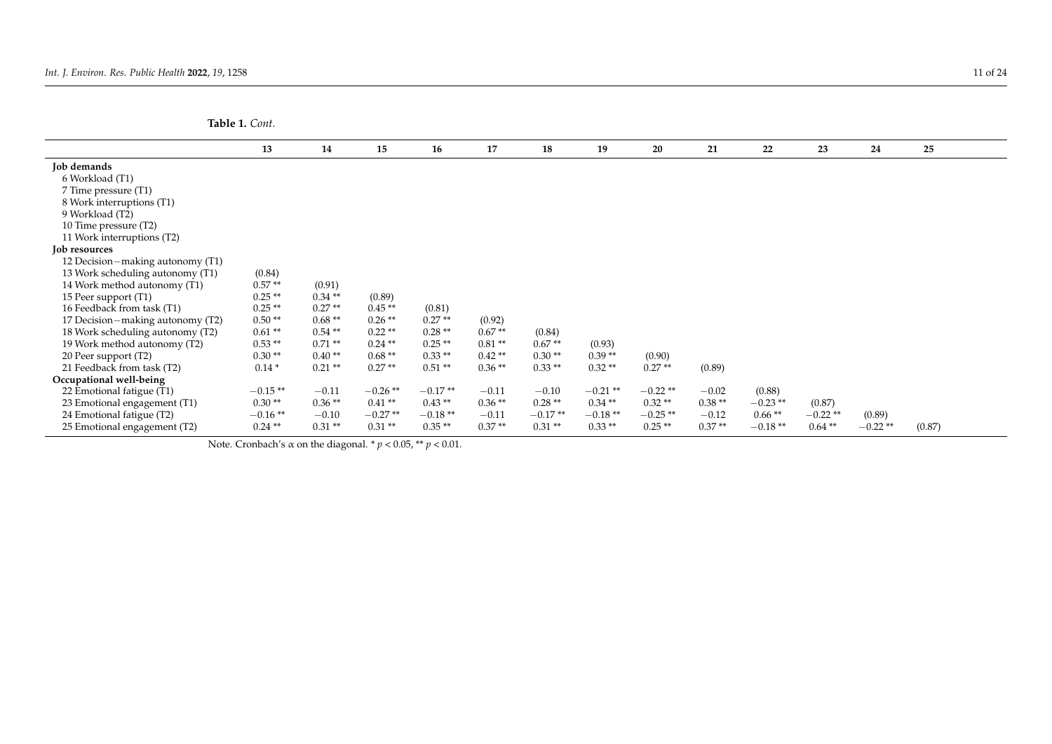**Table 1.** *Cont.*

|                                  | 13        | 14       | 15        | 16        | 17       | 18        | 19         | 20        | 21       | 22        | 23        | 24        | 25     |  |
|----------------------------------|-----------|----------|-----------|-----------|----------|-----------|------------|-----------|----------|-----------|-----------|-----------|--------|--|
| Job demands                      |           |          |           |           |          |           |            |           |          |           |           |           |        |  |
| 6 Workload (T1)                  |           |          |           |           |          |           |            |           |          |           |           |           |        |  |
| 7 Time pressure (T1)             |           |          |           |           |          |           |            |           |          |           |           |           |        |  |
| 8 Work interruptions (T1)        |           |          |           |           |          |           |            |           |          |           |           |           |        |  |
| 9 Workload (T2)                  |           |          |           |           |          |           |            |           |          |           |           |           |        |  |
| 10 Time pressure (T2)            |           |          |           |           |          |           |            |           |          |           |           |           |        |  |
| 11 Work interruptions (T2)       |           |          |           |           |          |           |            |           |          |           |           |           |        |  |
| Job resources                    |           |          |           |           |          |           |            |           |          |           |           |           |        |  |
| 12 Decision-making autonomy (T1) |           |          |           |           |          |           |            |           |          |           |           |           |        |  |
| 13 Work scheduling autonomy (T1) | (0.84)    |          |           |           |          |           |            |           |          |           |           |           |        |  |
| 14 Work method autonomy (T1)     | $0.57**$  | (0.91)   |           |           |          |           |            |           |          |           |           |           |        |  |
| 15 Peer support (T1)             | $0.25**$  | $0.34**$ | (0.89)    |           |          |           |            |           |          |           |           |           |        |  |
| 16 Feedback from task (T1)       | $0.25**$  | $0.27**$ | $0.45**$  | (0.81)    |          |           |            |           |          |           |           |           |        |  |
| 17 Decision-making autonomy (T2) | $0.50**$  | $0.68**$ | $0.26**$  | $0.27**$  | (0.92)   |           |            |           |          |           |           |           |        |  |
| 18 Work scheduling autonomy (T2) | $0.61**$  | $0.54**$ | $0.22**$  | $0.28**$  | $0.67**$ | (0.84)    |            |           |          |           |           |           |        |  |
| 19 Work method autonomy (T2)     | $0.53**$  | $0.71**$ | $0.24$ ** | $0.25**$  | $0.81**$ | $0.67**$  | (0.93)     |           |          |           |           |           |        |  |
| 20 Peer support (T2)             | $0.30**$  | $0.40**$ | $0.68**$  | $0.33**$  | $0.42**$ | $0.30**$  | $0.39**$   | (0.90)    |          |           |           |           |        |  |
| 21 Feedback from task (T2)       | $0.14*$   | $0.21**$ | $0.27**$  | $0.51**$  | $0.36**$ | $0.33**$  | $0.32**$   | $0.27**$  | (0.89)   |           |           |           |        |  |
| Occupational well-being          |           |          |           |           |          |           |            |           |          |           |           |           |        |  |
| 22 Emotional fatigue (T1)        | $-0.15**$ | $-0.11$  | $-0.26**$ | $-0.17**$ | $-0.11$  | $-0.10$   | $-0.21$ ** | $-0.22**$ | $-0.02$  | (0.88)    |           |           |        |  |
| 23 Emotional engagement (T1)     | $0.30**$  | $0.36**$ | $0.41**$  | $0.43**$  | $0.36**$ | $0.28**$  | $0.34**$   | $0.32**$  | $0.38**$ | $-0.23**$ | (0.87)    |           |        |  |
| 24 Emotional fatigue (T2)        | $-0.16**$ | $-0.10$  | $-0.27**$ | $-0.18**$ | $-0.11$  | $-0.17**$ | $-0.18**$  | $-0.25**$ | $-0.12$  | $0.66**$  | $-0.22**$ | (0.89)    |        |  |
| 25 Emotional engagement (T2)     | $0.24**$  | $0.31**$ | $0.31**$  | $0.35**$  | $0.37**$ | $0.31**$  | $0.33**$   | $0.25**$  | $0.37**$ | $-0.18**$ | $0.64**$  | $-0.22**$ | (0.87) |  |

<span id="page-10-0"></span>Note. Cronbach's  $\alpha$  on the diagonal. \*  $p < 0.05$ , \*\*  $p < 0.01$ .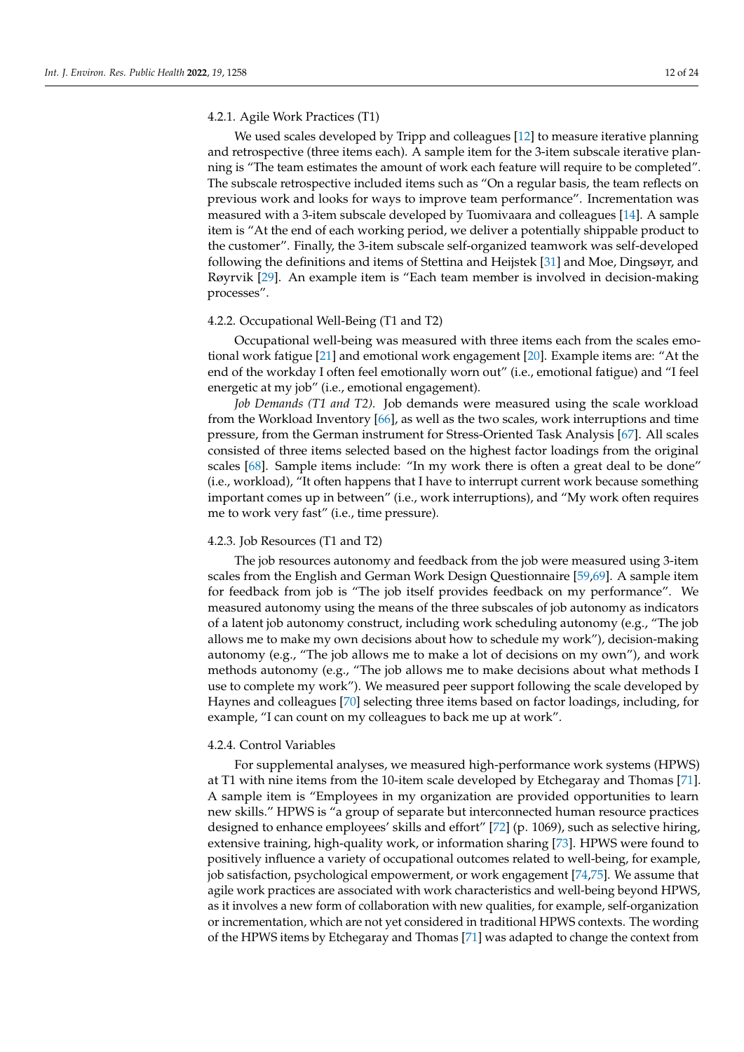## 4.2.1. Agile Work Practices (T1)

We used scales developed by Tripp and colleagues [\[12\]](#page-20-11) to measure iterative planning and retrospective (three items each). A sample item for the 3-item subscale iterative planning is "The team estimates the amount of work each feature will require to be completed". The subscale retrospective included items such as "On a regular basis, the team reflects on previous work and looks for ways to improve team performance". Incrementation was measured with a 3-item subscale developed by Tuomivaara and colleagues [\[14\]](#page-20-13). A sample item is "At the end of each working period, we deliver a potentially shippable product to the customer". Finally, the 3-item subscale self-organized teamwork was self-developed following the definitions and items of Stettina and Heijstek [\[31\]](#page-21-5) and Moe, Dingsøyr, and Røyrvik [\[29\]](#page-21-3). An example item is "Each team member is involved in decision-making processes".

## 4.2.2. Occupational Well-Being (T1 and T2)

Occupational well-being was measured with three items each from the scales emotional work fatigue [\[21\]](#page-20-20) and emotional work engagement [\[20\]](#page-20-19). Example items are: "At the end of the workday I often feel emotionally worn out" (i.e., emotional fatigue) and "I feel energetic at my job" (i.e., emotional engagement).

*Job Demands (T1 and T2).* Job demands were measured using the scale workload from the Workload Inventory [\[66\]](#page-22-12), as well as the two scales, work interruptions and time pressure, from the German instrument for Stress-Oriented Task Analysis [\[67\]](#page-22-13). All scales consisted of three items selected based on the highest factor loadings from the original scales [\[68\]](#page-22-14). Sample items include: "In my work there is often a great deal to be done" (i.e., workload), "It often happens that I have to interrupt current work because something important comes up in between" (i.e., work interruptions), and "My work often requires me to work very fast" (i.e., time pressure).

## 4.2.3. Job Resources (T1 and T2)

The job resources autonomy and feedback from the job were measured using 3-item scales from the English and German Work Design Questionnaire [\[59,](#page-22-5)[69\]](#page-22-15). A sample item for feedback from job is "The job itself provides feedback on my performance". We measured autonomy using the means of the three subscales of job autonomy as indicators of a latent job autonomy construct, including work scheduling autonomy (e.g., "The job allows me to make my own decisions about how to schedule my work"), decision-making autonomy (e.g., "The job allows me to make a lot of decisions on my own"), and work methods autonomy (e.g., "The job allows me to make decisions about what methods I use to complete my work"). We measured peer support following the scale developed by Haynes and colleagues [\[70\]](#page-22-16) selecting three items based on factor loadings, including, for example, "I can count on my colleagues to back me up at work".

#### 4.2.4. Control Variables

For supplemental analyses, we measured high-performance work systems (HPWS) at T1 with nine items from the 10-item scale developed by Etchegaray and Thomas [\[71\]](#page-22-17). A sample item is "Employees in my organization are provided opportunities to learn new skills." HPWS is "a group of separate but interconnected human resource practices designed to enhance employees' skills and effort" [\[72\]](#page-22-18) (p. 1069), such as selective hiring, extensive training, high-quality work, or information sharing [\[73\]](#page-22-19). HPWS were found to positively influence a variety of occupational outcomes related to well-being, for example, job satisfaction, psychological empowerment, or work engagement [\[74,](#page-22-20)[75\]](#page-22-21). We assume that agile work practices are associated with work characteristics and well-being beyond HPWS, as it involves a new form of collaboration with new qualities, for example, self-organization or incrementation, which are not yet considered in traditional HPWS contexts. The wording of the HPWS items by Etchegaray and Thomas [\[71\]](#page-22-17) was adapted to change the context from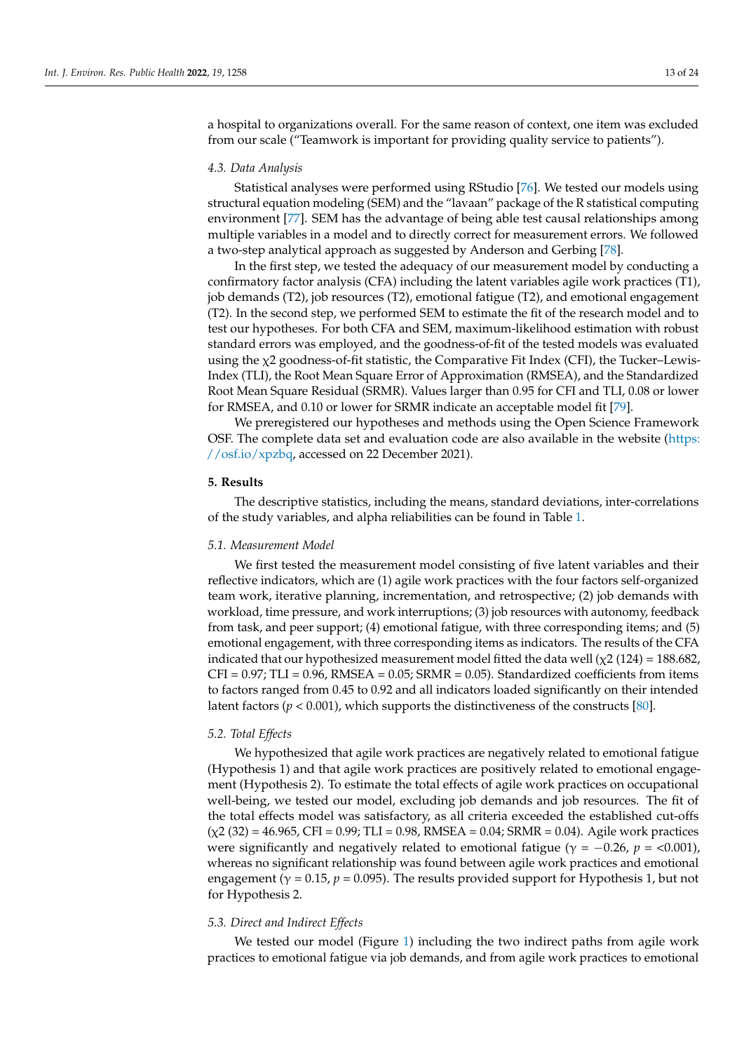a hospital to organizations overall. For the same reason of context, one item was excluded from our scale ("Teamwork is important for providing quality service to patients").

## *4.3. Data Analysis*

Statistical analyses were performed using RStudio [\[76\]](#page-22-22). We tested our models using structural equation modeling (SEM) and the "lavaan" package of the R statistical computing environment [\[77\]](#page-22-23). SEM has the advantage of being able test causal relationships among multiple variables in a model and to directly correct for measurement errors. We followed a two-step analytical approach as suggested by Anderson and Gerbing [\[78\]](#page-22-24).

In the first step, we tested the adequacy of our measurement model by conducting a confirmatory factor analysis (CFA) including the latent variables agile work practices (T1), job demands (T2), job resources (T2), emotional fatigue (T2), and emotional engagement (T2). In the second step, we performed SEM to estimate the fit of the research model and to test our hypotheses. For both CFA and SEM, maximum-likelihood estimation with robust standard errors was employed, and the goodness-of-fit of the tested models was evaluated using the  $\chi$ 2 goodness-of-fit statistic, the Comparative Fit Index (CFI), the Tucker–Lewis-Index (TLI), the Root Mean Square Error of Approximation (RMSEA), and the Standardized Root Mean Square Residual (SRMR). Values larger than 0.95 for CFI and TLI, 0.08 or lower for RMSEA, and 0.10 or lower for SRMR indicate an acceptable model fit [\[79\]](#page-22-25).

We preregistered our hypotheses and methods using the Open Science Framework OSF. The complete data set and evaluation code are also available in the website [\(https:](https://osf.io/xpzbq) [//osf.io/xpzbq,](https://osf.io/xpzbq) accessed on 22 December 2021).

## **5. Results**

The descriptive statistics, including the means, standard deviations, inter-correlations of the study variables, and alpha reliabilities can be found in Table [1.](#page-10-0)

## *5.1. Measurement Model*

We first tested the measurement model consisting of five latent variables and their reflective indicators, which are (1) agile work practices with the four factors self-organized team work, iterative planning, incrementation, and retrospective; (2) job demands with workload, time pressure, and work interruptions; (3) job resources with autonomy, feedback from task, and peer support; (4) emotional fatigue, with three corresponding items; and (5) emotional engagement, with three corresponding items as indicators. The results of the CFA indicated that our hypothesized measurement model fitted the data well  $(\chi^2 (124) = 188.682)$ ,  $CFI = 0.97$ ; TLI = 0.96, RMSEA = 0.05; SRMR = 0.05). Standardized coefficients from items to factors ranged from 0.45 to 0.92 and all indicators loaded significantly on their intended latent factors (*p* < 0.001), which supports the distinctiveness of the constructs [\[80\]](#page-22-26).

## *5.2. Total Effects*

We hypothesized that agile work practices are negatively related to emotional fatigue (Hypothesis 1) and that agile work practices are positively related to emotional engagement (Hypothesis 2). To estimate the total effects of agile work practices on occupational well-being, we tested our model, excluding job demands and job resources. The fit of the total effects model was satisfactory, as all criteria exceeded the established cut-offs  $(\chi2(32) = 46.965, \text{CFI} = 0.99; \text{TLI} = 0.98, \text{RMSEA} = 0.04; \text{SRMR} = 0.04)$ . Agile work practices were significantly and negatively related to emotional fatigue ( $\gamma = -0.26$ ,  $p = <0.001$ ), whereas no significant relationship was found between agile work practices and emotional engagement ( $\gamma$  = 0.15,  $p$  = 0.095). The results provided support for Hypothesis 1, but not for Hypothesis 2.

## *5.3. Direct and Indirect Effects*

We tested our model (Figure [1\)](#page-1-0) including the two indirect paths from agile work practices to emotional fatigue via job demands, and from agile work practices to emotional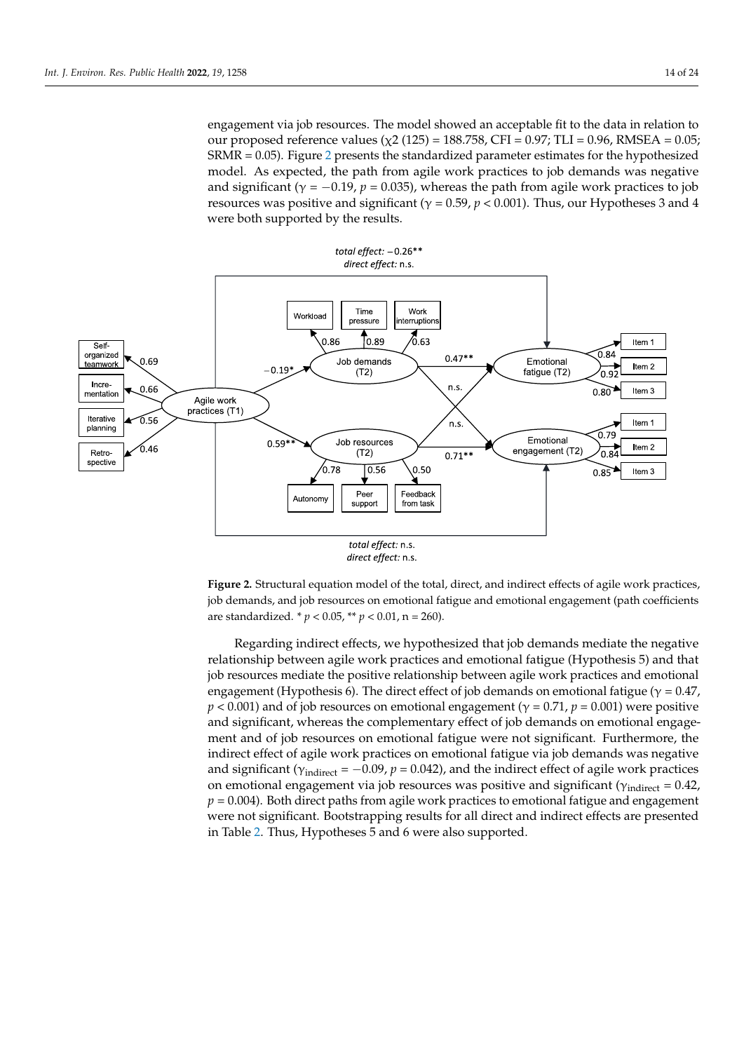<span id="page-13-0"></span>engagement via job resources. The model showed an acceptable fit to the data in relation to our proposed reference values (χ2 (125) = 188.758, CFI = 0.97; TLI = 0.96, RMSEA = 0.05;  $SRMR = 0.05$ ). Figure 2 presents the standardized parameter estimates for the hypothesized model. As expected, the path from agile work practices to job demands was negative and significant ( $γ = -0.19$ ,  $p = 0.035$ ), whereas the path from agile work practices to job directional fatigue and significant ( $γ = -0.19$ ,  $p = 0.035$ ), whereas the path from agile work practices to job resources was positive and significant ( $\gamma = 0.59$ ,  $p < 0.001$ ). Thus, our Hypotheses 3 and 4 were both supported by the results.

positive and significant, whereas the complementary effect of job demands on emotional





**Figure 2.** Structural equation model of the total, direct, and indirect effects of agile work practices, **Figure 2.** Structural equation model of the total, direct, and indirect effects of agile work practices, job demands, and job resources on emotional fatigue and emotional engagement (path coefficients job demands, and job resources on emotional fatigue and emotional engagement (path coefficients are standardized. \* *p* < 0.05, \*\* *p* < 0.01, n = 260). are standardized. \* *p* < 0.05, \*\* *p* < 0.01, n = 260).

Regarding indirect effects, we hypothesized that job demands mediate the negative relationship between agile work practices and emotional fatigue (Hypothesis 5) and that job resources mediate the positive relationship between agile work practices and emotional engagement (Hypothesis 6). The direct effect of job demands on emotional fatigue ( $\gamma = 0.47$ ,  $p < 0.001$ ) and of job resources on emotional engagement ( $\gamma = 0.71$ ,  $p = 0.001$ ) were positive and significant, whereas the complementary effect of job demands on emotional engagement and of job resources on emotional fatigue were not significant. Furthermore, the indirect effect of agile work practices on emotional fatigue via job demands was negative and significant ( $\gamma_{\text{indirect}} = -0.09$ ,  $p = 0.042$ ), and the indirect effect of agile work practices on emotional engagement via job resources was positive and significant ( $\gamma$ <sub>indirect</sub> = 0.42, *p* = 0.004). Both direct paths from agile work practices to emotional fatigue and engagement were not significant. Bootstrapping results for all direct and indirect effects are presented in Table [2.](#page-14-0) Thus, Hypotheses 5 and 6 were also supported.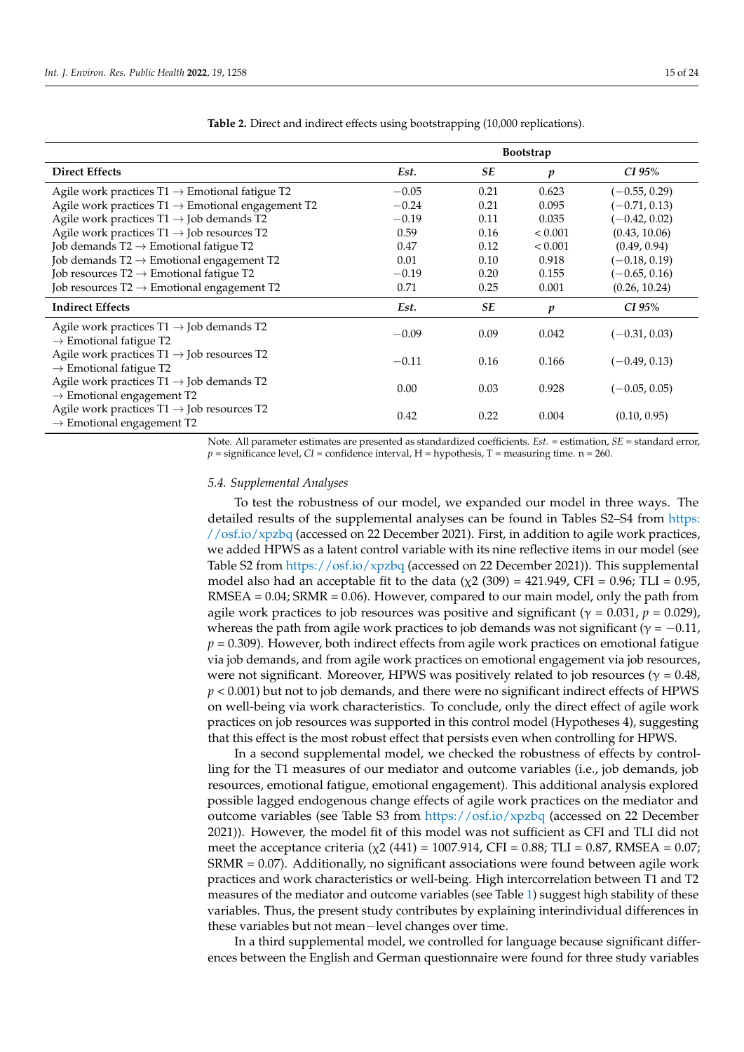|                                                                                                                    | <b>Bootstrap</b> |           |                  |                 |  |  |  |
|--------------------------------------------------------------------------------------------------------------------|------------------|-----------|------------------|-----------------|--|--|--|
| <b>Direct Effects</b>                                                                                              | Est.             | <b>SE</b> | p                | CI 95%          |  |  |  |
| Agile work practices $T1 \rightarrow$ Emotional fatigue T2                                                         | $-0.05$          | 0.21      | 0.623            | $(-0.55, 0.29)$ |  |  |  |
| Agile work practices $T1 \rightarrow$ Emotional engagement T2                                                      | $-0.24$          | 0.21      | 0.095            | $(-0.71, 0.13)$ |  |  |  |
| Agile work practices $T1 \rightarrow$ Job demands T2                                                               | $-0.19$          | 0.11      | 0.035            | $(-0.42, 0.02)$ |  |  |  |
| Agile work practices $T1 \rightarrow$ Job resources T2                                                             | 0.59             | 0.16      | < 0.001          | (0.43, 10.06)   |  |  |  |
| Job demands $T2 \rightarrow$ Emotional fatigue T2                                                                  | 0.47             | 0.12      | < 0.001          | (0.49, 0.94)    |  |  |  |
| Job demands $T2 \rightarrow$ Emotional engagement T2                                                               | 0.01             | 0.10      | 0.918            | $(-0.18, 0.19)$ |  |  |  |
| Job resources $T2 \rightarrow$ Emotional fatigue T2                                                                | $-0.19$          | 0.20      | 0.155            | $(-0.65, 0.16)$ |  |  |  |
| Job resources $T2 \rightarrow$ Emotional engagement T2                                                             | 0.71             | 0.25      | 0.001            | (0.26, 10.24)   |  |  |  |
| <b>Indirect Effects</b>                                                                                            | Est.             | <b>SE</b> | $\boldsymbol{p}$ | CI 95%          |  |  |  |
| Agile work practices $T1 \rightarrow$ Job demands T2<br>$\rightarrow$ Emotional fatigue T2                         | $-0.09$          | 0.09      | 0.042            | $(-0.31, 0.03)$ |  |  |  |
| Agile work practices $T1 \rightarrow$ Job resources T2<br>$\rightarrow$ Emotional fatigue T2                       | $-0.11$          | 0.16      | 0.166            | $(-0.49, 0.13)$ |  |  |  |
| Agile work practices $T1 \rightarrow$ Job demands T2<br>$\rightarrow$ Emotional engagement T2                      | 0.00             | 0.03      | 0.928            | $(-0.05, 0.05)$ |  |  |  |
| Agile work practices $\mathrm{T}1\to\mathrm{Job}$ resources $\mathrm{T}2$<br>$\rightarrow$ Emotional engagement T2 | 0.42             | 0.22      | 0.004            | (0.10, 0.95)    |  |  |  |

<span id="page-14-0"></span>**Table 2.** Direct and indirect effects using bootstrapping (10,000 replications).

Note. All parameter estimates are presented as standardized coefficients. *Est.* = estimation, *SE* = standard error,  $p =$  significance level, *CI* = confidence interval,  $H =$  hypothesis,  $T =$  measuring time. n = 260.

## *5.4. Supplemental Analyses*

To test the robustness of our model, we expanded our model in three ways. The detailed results of the supplemental analyses can be found in Tables S2–S4 from [https:](https://osf.io/xpzbq) [//osf.io/xpzbq](https://osf.io/xpzbq) (accessed on 22 December 2021). First, in addition to agile work practices, we added HPWS as a latent control variable with its nine reflective items in our model (see Table S2 from <https://osf.io/xpzbq> (accessed on 22 December 2021)). This supplemental model also had an acceptable fit to the data ( $\chi$ 2 (309) = 421.949, CFI = 0.96; TLI = 0.95,  $RMSEA = 0.04$ ;  $SRMR = 0.06$ ). However, compared to our main model, only the path from agile work practices to job resources was positive and significant ( $\gamma = 0.031$ ,  $p = 0.029$ ), whereas the path from agile work practices to job demands was not significant ( $\gamma = -0.11$ , *p* = 0.309). However, both indirect effects from agile work practices on emotional fatigue via job demands, and from agile work practices on emotional engagement via job resources, were not significant. Moreover, HPWS was positively related to job resources ( $\gamma$  = 0.48, *p* < 0.001) but not to job demands, and there were no significant indirect effects of HPWS on well-being via work characteristics. To conclude, only the direct effect of agile work practices on job resources was supported in this control model (Hypotheses 4), suggesting that this effect is the most robust effect that persists even when controlling for HPWS.

In a second supplemental model, we checked the robustness of effects by controlling for the T1 measures of our mediator and outcome variables (i.e., job demands, job resources, emotional fatigue, emotional engagement). This additional analysis explored possible lagged endogenous change effects of agile work practices on the mediator and outcome variables (see Table S3 from <https://osf.io/xpzbq> (accessed on 22 December 2021)). However, the model fit of this model was not sufficient as CFI and TLI did not meet the acceptance criteria ( $\chi$ 2 (441) = 1007.914, CFI = 0.88; TLI = 0.87, RMSEA = 0.07; SRMR = 0.07). Additionally, no significant associations were found between agile work practices and work characteristics or well-being. High intercorrelation between T1 and T2 measures of the mediator and outcome variables (see Table [1\)](#page-10-0) suggest high stability of these variables. Thus, the present study contributes by explaining interindividual differences in these variables but not mean−level changes over time.

In a third supplemental model, we controlled for language because significant differences between the English and German questionnaire were found for three study variables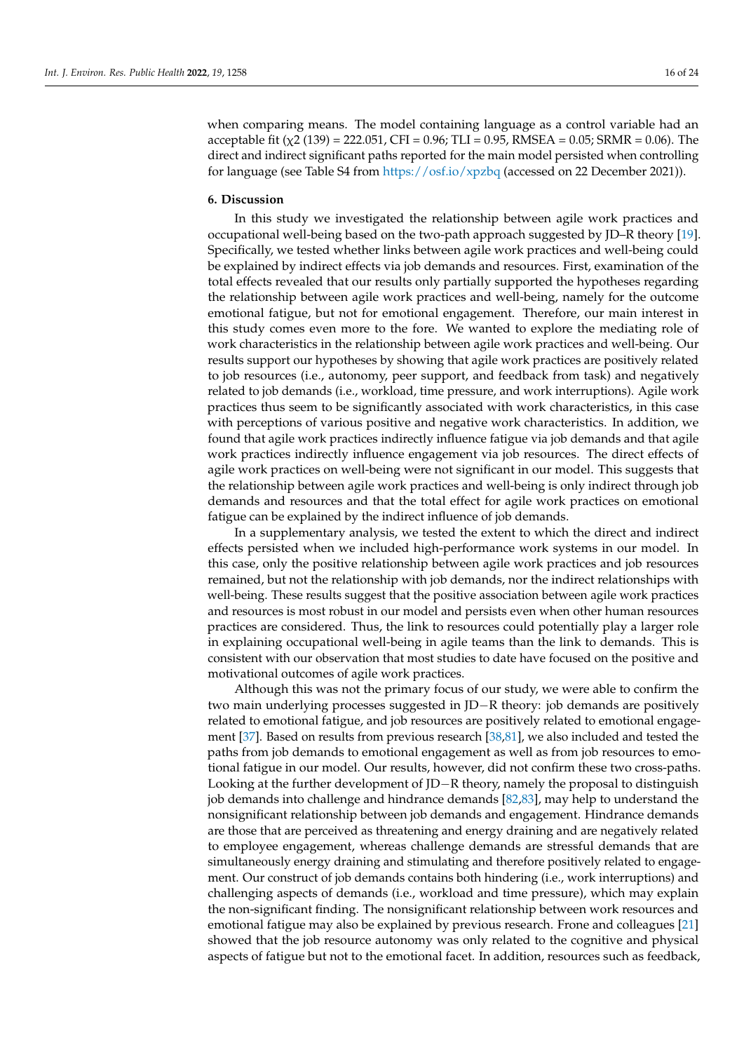when comparing means. The model containing language as a control variable had an acceptable fit ( $\chi$ 2 (139) = 222.051, CFI = 0.96; TLI = 0.95, RMSEA = 0.05; SRMR = 0.06). The direct and indirect significant paths reported for the main model persisted when controlling for language (see Table S4 from <https://osf.io/xpzbq> (accessed on 22 December 2021)).

## **6. Discussion**

In this study we investigated the relationship between agile work practices and occupational well-being based on the two-path approach suggested by JD–R theory [\[19\]](#page-20-18). Specifically, we tested whether links between agile work practices and well-being could be explained by indirect effects via job demands and resources. First, examination of the total effects revealed that our results only partially supported the hypotheses regarding the relationship between agile work practices and well-being, namely for the outcome emotional fatigue, but not for emotional engagement. Therefore, our main interest in this study comes even more to the fore. We wanted to explore the mediating role of work characteristics in the relationship between agile work practices and well-being. Our results support our hypotheses by showing that agile work practices are positively related to job resources (i.e., autonomy, peer support, and feedback from task) and negatively related to job demands (i.e., workload, time pressure, and work interruptions). Agile work practices thus seem to be significantly associated with work characteristics, in this case with perceptions of various positive and negative work characteristics. In addition, we found that agile work practices indirectly influence fatigue via job demands and that agile work practices indirectly influence engagement via job resources. The direct effects of agile work practices on well-being were not significant in our model. This suggests that the relationship between agile work practices and well-being is only indirect through job demands and resources and that the total effect for agile work practices on emotional fatigue can be explained by the indirect influence of job demands.

In a supplementary analysis, we tested the extent to which the direct and indirect effects persisted when we included high-performance work systems in our model. In this case, only the positive relationship between agile work practices and job resources remained, but not the relationship with job demands, nor the indirect relationships with well-being. These results suggest that the positive association between agile work practices and resources is most robust in our model and persists even when other human resources practices are considered. Thus, the link to resources could potentially play a larger role in explaining occupational well-being in agile teams than the link to demands. This is consistent with our observation that most studies to date have focused on the positive and motivational outcomes of agile work practices.

Although this was not the primary focus of our study, we were able to confirm the two main underlying processes suggested in JD−R theory: job demands are positively related to emotional fatigue, and job resources are positively related to emotional engagement [\[37\]](#page-21-11). Based on results from previous research [\[38,](#page-21-12)[81\]](#page-22-27), we also included and tested the paths from job demands to emotional engagement as well as from job resources to emotional fatigue in our model. Our results, however, did not confirm these two cross-paths. Looking at the further development of JD−R theory, namely the proposal to distinguish job demands into challenge and hindrance demands [\[82](#page-22-28)[,83\]](#page-23-0), may help to understand the nonsignificant relationship between job demands and engagement. Hindrance demands are those that are perceived as threatening and energy draining and are negatively related to employee engagement, whereas challenge demands are stressful demands that are simultaneously energy draining and stimulating and therefore positively related to engagement. Our construct of job demands contains both hindering (i.e., work interruptions) and challenging aspects of demands (i.e., workload and time pressure), which may explain the non-significant finding. The nonsignificant relationship between work resources and emotional fatigue may also be explained by previous research. Frone and colleagues [\[21\]](#page-20-20) showed that the job resource autonomy was only related to the cognitive and physical aspects of fatigue but not to the emotional facet. In addition, resources such as feedback,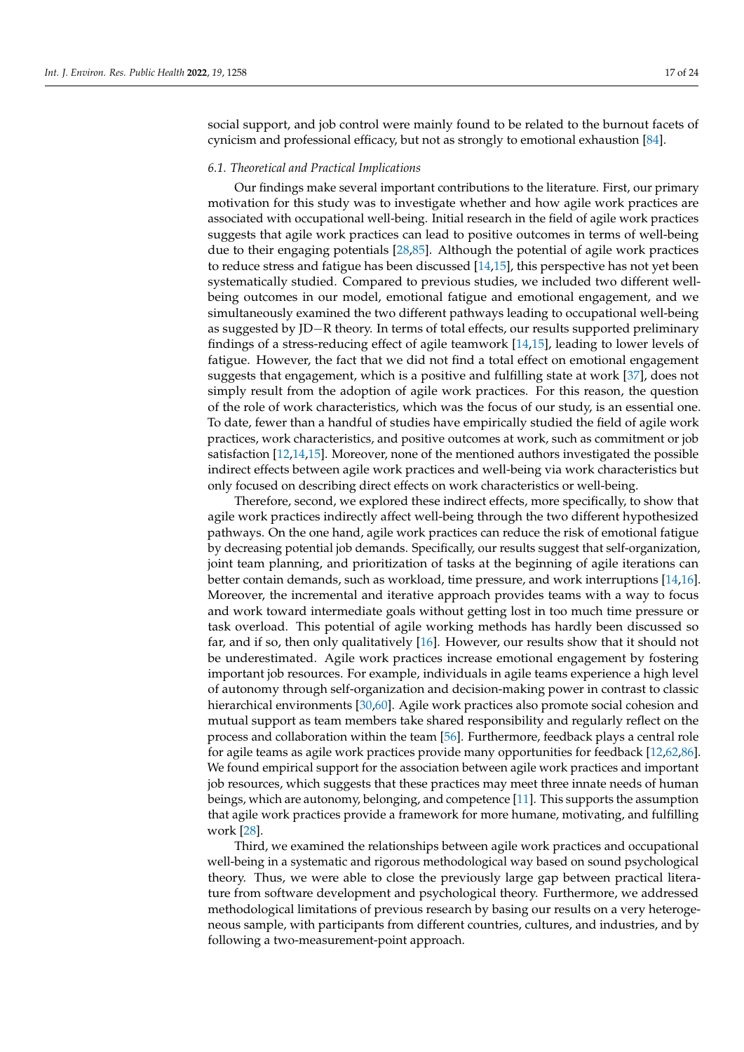social support, and job control were mainly found to be related to the burnout facets of cynicism and professional efficacy, but not as strongly to emotional exhaustion [\[84\]](#page-23-1).

#### *6.1. Theoretical and Practical Implications*

Our findings make several important contributions to the literature. First, our primary motivation for this study was to investigate whether and how agile work practices are associated with occupational well-being. Initial research in the field of agile work practices suggests that agile work practices can lead to positive outcomes in terms of well-being due to their engaging potentials [\[28,](#page-21-2)[85\]](#page-23-2). Although the potential of agile work practices to reduce stress and fatigue has been discussed [\[14,](#page-20-13)[15\]](#page-20-14), this perspective has not yet been systematically studied. Compared to previous studies, we included two different wellbeing outcomes in our model, emotional fatigue and emotional engagement, and we simultaneously examined the two different pathways leading to occupational well-being as suggested by JD−R theory. In terms of total effects, our results supported preliminary findings of a stress-reducing effect of agile teamwork [\[14,](#page-20-13)[15\]](#page-20-14), leading to lower levels of fatigue. However, the fact that we did not find a total effect on emotional engagement suggests that engagement, which is a positive and fulfilling state at work [\[37\]](#page-21-11), does not simply result from the adoption of agile work practices. For this reason, the question of the role of work characteristics, which was the focus of our study, is an essential one. To date, fewer than a handful of studies have empirically studied the field of agile work practices, work characteristics, and positive outcomes at work, such as commitment or job satisfaction [\[12,](#page-20-11)[14,](#page-20-13)[15\]](#page-20-14). Moreover, none of the mentioned authors investigated the possible indirect effects between agile work practices and well-being via work characteristics but only focused on describing direct effects on work characteristics or well-being.

Therefore, second, we explored these indirect effects, more specifically, to show that agile work practices indirectly affect well-being through the two different hypothesized pathways. On the one hand, agile work practices can reduce the risk of emotional fatigue by decreasing potential job demands. Specifically, our results suggest that self-organization, joint team planning, and prioritization of tasks at the beginning of agile iterations can better contain demands, such as workload, time pressure, and work interruptions [\[14,](#page-20-13)[16\]](#page-20-15). Moreover, the incremental and iterative approach provides teams with a way to focus and work toward intermediate goals without getting lost in too much time pressure or task overload. This potential of agile working methods has hardly been discussed so far, and if so, then only qualitatively [\[16\]](#page-20-15). However, our results show that it should not be underestimated. Agile work practices increase emotional engagement by fostering important job resources. For example, individuals in agile teams experience a high level of autonomy through self-organization and decision-making power in contrast to classic hierarchical environments [\[30](#page-21-4)[,60\]](#page-22-6). Agile work practices also promote social cohesion and mutual support as team members take shared responsibility and regularly reflect on the process and collaboration within the team [\[56\]](#page-22-2). Furthermore, feedback plays a central role for agile teams as agile work practices provide many opportunities for feedback [\[12](#page-20-11)[,62](#page-22-8)[,86\]](#page-23-3). We found empirical support for the association between agile work practices and important job resources, which suggests that these practices may meet three innate needs of human beings, which are autonomy, belonging, and competence [\[11\]](#page-20-10). This supports the assumption that agile work practices provide a framework for more humane, motivating, and fulfilling work [\[28\]](#page-21-2).

Third, we examined the relationships between agile work practices and occupational well-being in a systematic and rigorous methodological way based on sound psychological theory. Thus, we were able to close the previously large gap between practical literature from software development and psychological theory. Furthermore, we addressed methodological limitations of previous research by basing our results on a very heterogeneous sample, with participants from different countries, cultures, and industries, and by following a two-measurement-point approach.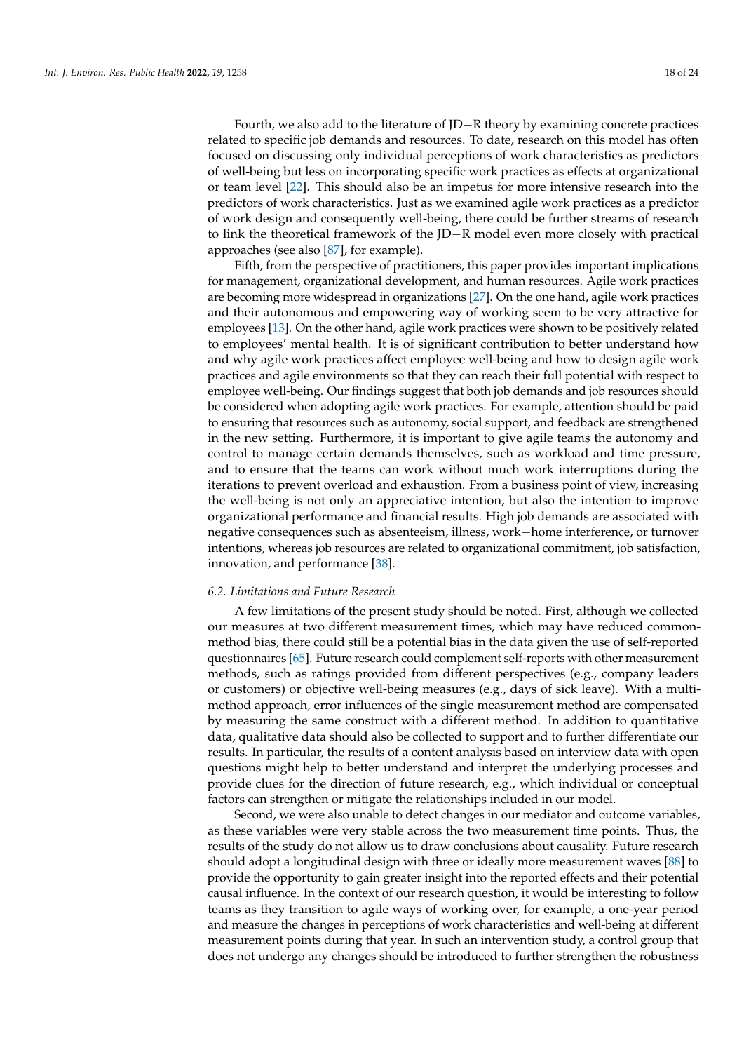Fourth, we also add to the literature of JD−R theory by examining concrete practices related to specific job demands and resources. To date, research on this model has often focused on discussing only individual perceptions of work characteristics as predictors of well-being but less on incorporating specific work practices as effects at organizational or team level [\[22\]](#page-20-21). This should also be an impetus for more intensive research into the predictors of work characteristics. Just as we examined agile work practices as a predictor of work design and consequently well-being, there could be further streams of research to link the theoretical framework of the JD−R model even more closely with practical approaches (see also [\[87\]](#page-23-4), for example).

Fifth, from the perspective of practitioners, this paper provides important implications for management, organizational development, and human resources. Agile work practices are becoming more widespread in organizations [\[27\]](#page-21-1). On the one hand, agile work practices and their autonomous and empowering way of working seem to be very attractive for employees [\[13\]](#page-20-12). On the other hand, agile work practices were shown to be positively related to employees' mental health. It is of significant contribution to better understand how and why agile work practices affect employee well-being and how to design agile work practices and agile environments so that they can reach their full potential with respect to employee well-being. Our findings suggest that both job demands and job resources should be considered when adopting agile work practices. For example, attention should be paid to ensuring that resources such as autonomy, social support, and feedback are strengthened in the new setting. Furthermore, it is important to give agile teams the autonomy and control to manage certain demands themselves, such as workload and time pressure, and to ensure that the teams can work without much work interruptions during the iterations to prevent overload and exhaustion. From a business point of view, increasing the well-being is not only an appreciative intention, but also the intention to improve organizational performance and financial results. High job demands are associated with negative consequences such as absenteeism, illness, work−home interference, or turnover intentions, whereas job resources are related to organizational commitment, job satisfaction, innovation, and performance [\[38\]](#page-21-12).

## *6.2. Limitations and Future Research*

A few limitations of the present study should be noted. First, although we collected our measures at two different measurement times, which may have reduced commonmethod bias, there could still be a potential bias in the data given the use of self-reported questionnaires [\[65\]](#page-22-11). Future research could complement self-reports with other measurement methods, such as ratings provided from different perspectives (e.g., company leaders or customers) or objective well-being measures (e.g., days of sick leave). With a multimethod approach, error influences of the single measurement method are compensated by measuring the same construct with a different method. In addition to quantitative data, qualitative data should also be collected to support and to further differentiate our results. In particular, the results of a content analysis based on interview data with open questions might help to better understand and interpret the underlying processes and provide clues for the direction of future research, e.g., which individual or conceptual factors can strengthen or mitigate the relationships included in our model.

Second, we were also unable to detect changes in our mediator and outcome variables, as these variables were very stable across the two measurement time points. Thus, the results of the study do not allow us to draw conclusions about causality. Future research should adopt a longitudinal design with three or ideally more measurement waves [\[88\]](#page-23-5) to provide the opportunity to gain greater insight into the reported effects and their potential causal influence. In the context of our research question, it would be interesting to follow teams as they transition to agile ways of working over, for example, a one-year period and measure the changes in perceptions of work characteristics and well-being at different measurement points during that year. In such an intervention study, a control group that does not undergo any changes should be introduced to further strengthen the robustness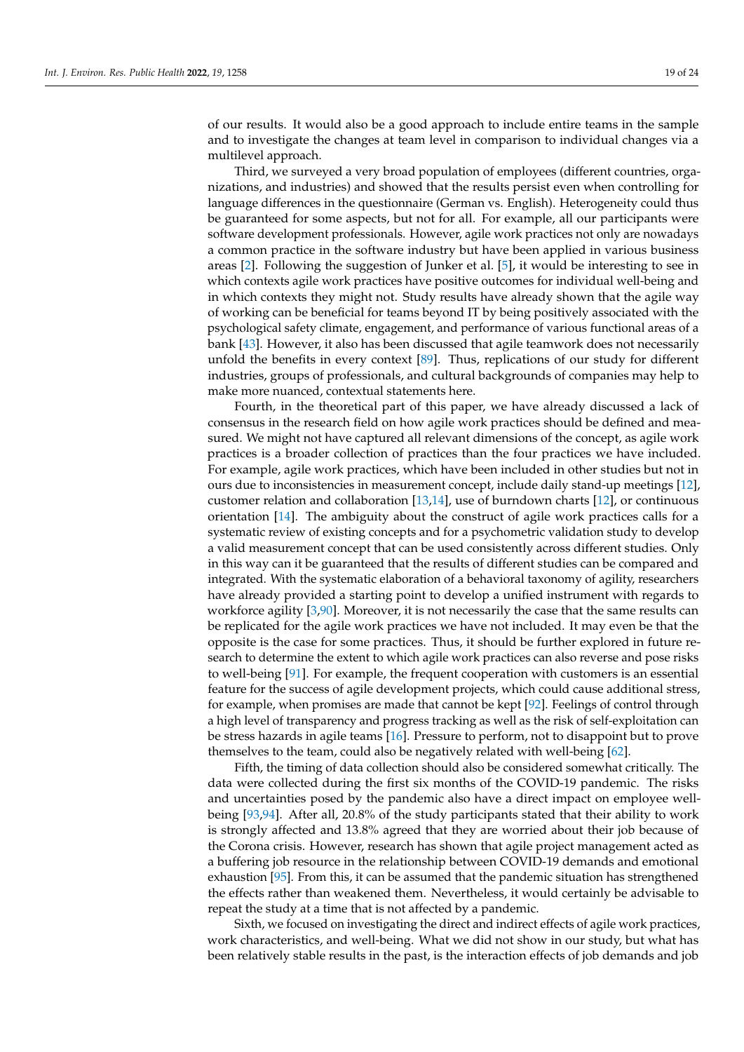of our results. It would also be a good approach to include entire teams in the sample and to investigate the changes at team level in comparison to individual changes via a multilevel approach.

Third, we surveyed a very broad population of employees (different countries, organizations, and industries) and showed that the results persist even when controlling for language differences in the questionnaire (German vs. English). Heterogeneity could thus be guaranteed for some aspects, but not for all. For example, all our participants were software development professionals. However, agile work practices not only are nowadays a common practice in the software industry but have been applied in various business areas [\[2\]](#page-20-1). Following the suggestion of Junker et al. [\[5\]](#page-20-4), it would be interesting to see in which contexts agile work practices have positive outcomes for individual well-being and in which contexts they might not. Study results have already shown that the agile way of working can be beneficial for teams beyond IT by being positively associated with the psychological safety climate, engagement, and performance of various functional areas of a bank [\[43\]](#page-21-17). However, it also has been discussed that agile teamwork does not necessarily unfold the benefits in every context [\[89\]](#page-23-6). Thus, replications of our study for different industries, groups of professionals, and cultural backgrounds of companies may help to make more nuanced, contextual statements here.

Fourth, in the theoretical part of this paper, we have already discussed a lack of consensus in the research field on how agile work practices should be defined and measured. We might not have captured all relevant dimensions of the concept, as agile work practices is a broader collection of practices than the four practices we have included. For example, agile work practices, which have been included in other studies but not in ours due to inconsistencies in measurement concept, include daily stand-up meetings [\[12\]](#page-20-11), customer relation and collaboration [\[13,](#page-20-12)[14\]](#page-20-13), use of burndown charts [\[12\]](#page-20-11), or continuous orientation [\[14\]](#page-20-13). The ambiguity about the construct of agile work practices calls for a systematic review of existing concepts and for a psychometric validation study to develop a valid measurement concept that can be used consistently across different studies. Only in this way can it be guaranteed that the results of different studies can be compared and integrated. With the systematic elaboration of a behavioral taxonomy of agility, researchers have already provided a starting point to develop a unified instrument with regards to workforce agility [\[3,](#page-20-2)[90\]](#page-23-7). Moreover, it is not necessarily the case that the same results can be replicated for the agile work practices we have not included. It may even be that the opposite is the case for some practices. Thus, it should be further explored in future research to determine the extent to which agile work practices can also reverse and pose risks to well-being [\[91\]](#page-23-8). For example, the frequent cooperation with customers is an essential feature for the success of agile development projects, which could cause additional stress, for example, when promises are made that cannot be kept [\[92\]](#page-23-9). Feelings of control through a high level of transparency and progress tracking as well as the risk of self-exploitation can be stress hazards in agile teams [\[16\]](#page-20-15). Pressure to perform, not to disappoint but to prove themselves to the team, could also be negatively related with well-being [\[62\]](#page-22-8).

Fifth, the timing of data collection should also be considered somewhat critically. The data were collected during the first six months of the COVID-19 pandemic. The risks and uncertainties posed by the pandemic also have a direct impact on employee wellbeing [\[93](#page-23-10)[,94\]](#page-23-11). After all, 20.8% of the study participants stated that their ability to work is strongly affected and 13.8% agreed that they are worried about their job because of the Corona crisis. However, research has shown that agile project management acted as a buffering job resource in the relationship between COVID-19 demands and emotional exhaustion [\[95\]](#page-23-12). From this, it can be assumed that the pandemic situation has strengthened the effects rather than weakened them. Nevertheless, it would certainly be advisable to repeat the study at a time that is not affected by a pandemic.

Sixth, we focused on investigating the direct and indirect effects of agile work practices, work characteristics, and well-being. What we did not show in our study, but what has been relatively stable results in the past, is the interaction effects of job demands and job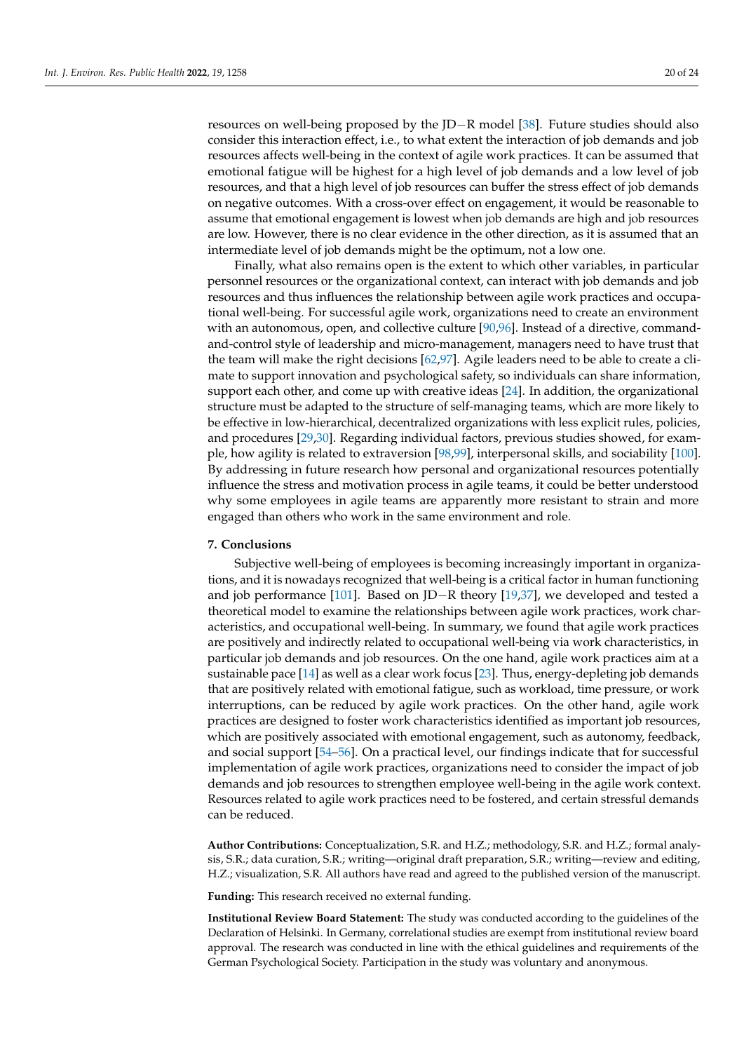resources on well-being proposed by the JD−R model [\[38\]](#page-21-12). Future studies should also consider this interaction effect, i.e., to what extent the interaction of job demands and job resources affects well-being in the context of agile work practices. It can be assumed that emotional fatigue will be highest for a high level of job demands and a low level of job resources, and that a high level of job resources can buffer the stress effect of job demands on negative outcomes. With a cross-over effect on engagement, it would be reasonable to assume that emotional engagement is lowest when job demands are high and job resources are low. However, there is no clear evidence in the other direction, as it is assumed that an intermediate level of job demands might be the optimum, not a low one.

Finally, what also remains open is the extent to which other variables, in particular personnel resources or the organizational context, can interact with job demands and job resources and thus influences the relationship between agile work practices and occupational well-being. For successful agile work, organizations need to create an environment with an autonomous, open, and collective culture [\[90,](#page-23-7)[96\]](#page-23-13). Instead of a directive, commandand-control style of leadership and micro-management, managers need to have trust that the team will make the right decisions [\[62](#page-22-8)[,97\]](#page-23-14). Agile leaders need to be able to create a climate to support innovation and psychological safety, so individuals can share information, support each other, and come up with creative ideas [\[24\]](#page-20-23). In addition, the organizational structure must be adapted to the structure of self-managing teams, which are more likely to be effective in low-hierarchical, decentralized organizations with less explicit rules, policies, and procedures [\[29](#page-21-3)[,30\]](#page-21-4). Regarding individual factors, previous studies showed, for example, how agility is related to extraversion [\[98,](#page-23-15)[99\]](#page-23-16), interpersonal skills, and sociability [\[100\]](#page-23-17). By addressing in future research how personal and organizational resources potentially influence the stress and motivation process in agile teams, it could be better understood why some employees in agile teams are apparently more resistant to strain and more engaged than others who work in the same environment and role.

# **7. Conclusions**

Subjective well-being of employees is becoming increasingly important in organizations, and it is nowadays recognized that well-being is a critical factor in human functioning and job performance [\[101\]](#page-23-18). Based on JD−R theory [\[19](#page-20-18)[,37\]](#page-21-11), we developed and tested a theoretical model to examine the relationships between agile work practices, work characteristics, and occupational well-being. In summary, we found that agile work practices are positively and indirectly related to occupational well-being via work characteristics, in particular job demands and job resources. On the one hand, agile work practices aim at a sustainable pace [\[14\]](#page-20-13) as well as a clear work focus [\[23\]](#page-20-22). Thus, energy-depleting job demands that are positively related with emotional fatigue, such as workload, time pressure, or work interruptions, can be reduced by agile work practices. On the other hand, agile work practices are designed to foster work characteristics identified as important job resources, which are positively associated with emotional engagement, such as autonomy, feedback, and social support [\[54–](#page-22-0)[56\]](#page-22-2). On a practical level, our findings indicate that for successful implementation of agile work practices, organizations need to consider the impact of job demands and job resources to strengthen employee well-being in the agile work context. Resources related to agile work practices need to be fostered, and certain stressful demands can be reduced.

**Author Contributions:** Conceptualization, S.R. and H.Z.; methodology, S.R. and H.Z.; formal analysis, S.R.; data curation, S.R.; writing—original draft preparation, S.R.; writing—review and editing, H.Z.; visualization, S.R. All authors have read and agreed to the published version of the manuscript.

**Funding:** This research received no external funding.

**Institutional Review Board Statement:** The study was conducted according to the guidelines of the Declaration of Helsinki. In Germany, correlational studies are exempt from institutional review board approval. The research was conducted in line with the ethical guidelines and requirements of the German Psychological Society. Participation in the study was voluntary and anonymous.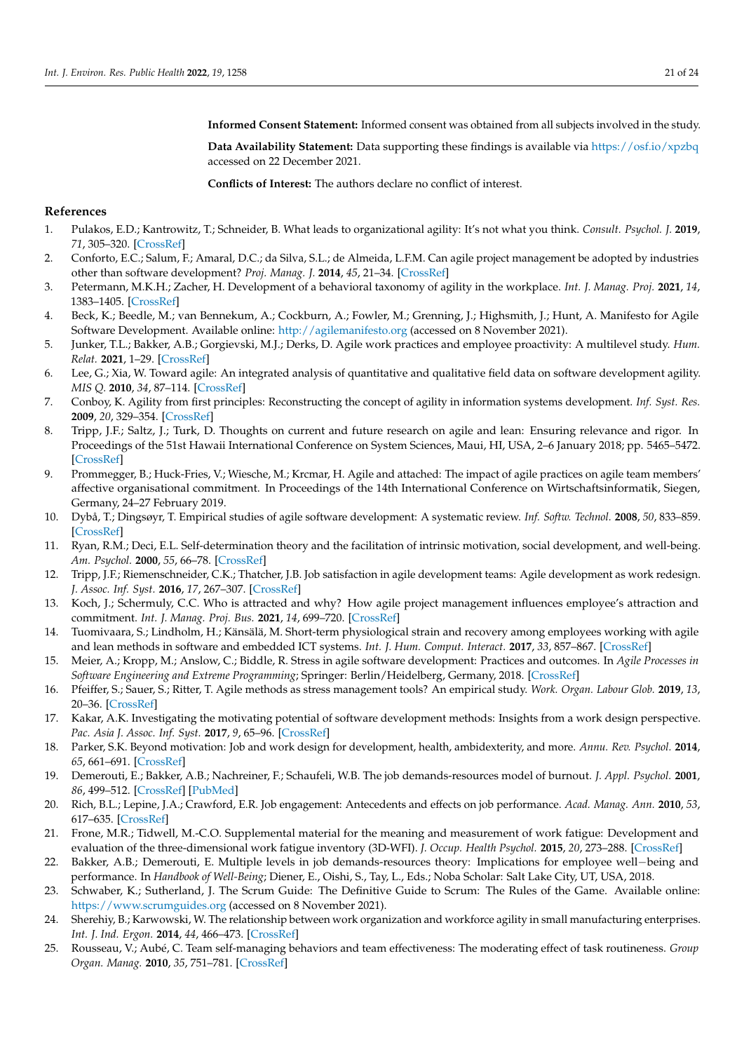**Informed Consent Statement:** Informed consent was obtained from all subjects involved in the study.

**Data Availability Statement:** Data supporting these findings is available via <https://osf.io/xpzbq> accessed on 22 December 2021.

**Conflicts of Interest:** The authors declare no conflict of interest.

# **References**

- <span id="page-20-0"></span>1. Pulakos, E.D.; Kantrowitz, T.; Schneider, B. What leads to organizational agility: It's not what you think. *Consult. Psychol. J.* **2019**, *71*, 305–320. [\[CrossRef\]](http://doi.org/10.1037/cpb0000150)
- <span id="page-20-1"></span>2. Conforto, E.C.; Salum, F.; Amaral, D.C.; da Silva, S.L.; de Almeida, L.F.M. Can agile project management be adopted by industries other than software development? *Proj. Manag. J.* **2014**, *45*, 21–34. [\[CrossRef\]](http://doi.org/10.1002/pmj.21410)
- <span id="page-20-2"></span>3. Petermann, M.K.H.; Zacher, H. Development of a behavioral taxonomy of agility in the workplace. *Int. J. Manag. Proj.* **2021**, *14*, 1383–1405. [\[CrossRef\]](http://doi.org/10.1108/IJMPB-02-2021-0051)
- <span id="page-20-3"></span>4. Beck, K.; Beedle, M.; van Bennekum, A.; Cockburn, A.; Fowler, M.; Grenning, J.; Highsmith, J.; Hunt, A. Manifesto for Agile Software Development. Available online: <http://agilemanifesto.org> (accessed on 8 November 2021).
- <span id="page-20-4"></span>5. Junker, T.L.; Bakker, A.B.; Gorgievski, M.J.; Derks, D. Agile work practices and employee proactivity: A multilevel study. *Hum. Relat.* **2021**, 1–29. [\[CrossRef\]](http://doi.org/10.1177/00187267211030101)
- <span id="page-20-5"></span>6. Lee, G.; Xia, W. Toward agile: An integrated analysis of quantitative and qualitative field data on software development agility. *MIS Q.* **2010**, *34*, 87–114. [\[CrossRef\]](http://doi.org/10.2307/20721416)
- <span id="page-20-6"></span>7. Conboy, K. Agility from first principles: Reconstructing the concept of agility in information systems development. *Inf. Syst. Res.* **2009**, *20*, 329–354. [\[CrossRef\]](http://doi.org/10.1287/isre.1090.0236)
- <span id="page-20-7"></span>8. Tripp, J.F.; Saltz, J.; Turk, D. Thoughts on current and future research on agile and lean: Ensuring relevance and rigor. In Proceedings of the 51st Hawaii International Conference on System Sciences, Maui, HI, USA, 2–6 January 2018; pp. 5465–5472. [\[CrossRef\]](http://doi.org/10.24251/HICSS.2018.681)
- <span id="page-20-8"></span>9. Prommegger, B.; Huck-Fries, V.; Wiesche, M.; Krcmar, H. Agile and attached: The impact of agile practices on agile team members' affective organisational commitment. In Proceedings of the 14th International Conference on Wirtschaftsinformatik, Siegen, Germany, 24–27 February 2019.
- <span id="page-20-9"></span>10. Dybå, T.; Dingsøyr, T. Empirical studies of agile software development: A systematic review. *Inf. Softw. Technol.* **2008**, *50*, 833–859. [\[CrossRef\]](http://doi.org/10.1016/j.infsof.2008.01.006)
- <span id="page-20-10"></span>11. Ryan, R.M.; Deci, E.L. Self-determination theory and the facilitation of intrinsic motivation, social development, and well-being. *Am. Psychol.* **2000**, *55*, 66–78. [\[CrossRef\]](http://doi.org/10.1037/0003-066X.55.1.68)
- <span id="page-20-11"></span>12. Tripp, J.F.; Riemenschneider, C.K.; Thatcher, J.B. Job satisfaction in agile development teams: Agile development as work redesign. *J. Assoc. Inf. Syst.* **2016**, *17*, 267–307. [\[CrossRef\]](http://doi.org/10.17705/1jais.00426)
- <span id="page-20-12"></span>13. Koch, J.; Schermuly, C.C. Who is attracted and why? How agile project management influences employee's attraction and commitment. *Int. J. Manag. Proj. Bus.* **2021**, *14*, 699–720. [\[CrossRef\]](http://doi.org/10.1108/IJMPB-02-2020-0063)
- <span id="page-20-13"></span>14. Tuomivaara, S.; Lindholm, H.; Känsälä, M. Short-term physiological strain and recovery among employees working with agile and lean methods in software and embedded ICT systems. *Int. J. Hum. Comput. Interact.* **2017**, *33*, 857–867. [\[CrossRef\]](http://doi.org/10.1080/10447318.2017.1294336)
- <span id="page-20-14"></span>15. Meier, A.; Kropp, M.; Anslow, C.; Biddle, R. Stress in agile software development: Practices and outcomes. In *Agile Processes in Software Engineering and Extreme Programming*; Springer: Berlin/Heidelberg, Germany, 2018. [\[CrossRef\]](http://doi.org/10.1007/978-3-319-91602-6_18)
- <span id="page-20-15"></span>16. Pfeiffer, S.; Sauer, S.; Ritter, T. Agile methods as stress management tools? An empirical study. *Work. Organ. Labour Glob.* **2019**, *13*, 20–36. [\[CrossRef\]](http://doi.org/10.13169/workorgalaboglob.13.2.0020)
- <span id="page-20-16"></span>17. Kakar, A.K. Investigating the motivating potential of software development methods: Insights from a work design perspective. *Pac. Asia J. Assoc. Inf. Syst.* **2017**, *9*, 65–96. [\[CrossRef\]](http://doi.org/10.17705/1pais.09404)
- <span id="page-20-17"></span>18. Parker, S.K. Beyond motivation: Job and work design for development, health, ambidexterity, and more. *Annu. Rev. Psychol.* **2014**, *65*, 661–691. [\[CrossRef\]](http://doi.org/10.1146/annurev-psych-010213-115208)
- <span id="page-20-18"></span>19. Demerouti, E.; Bakker, A.B.; Nachreiner, F.; Schaufeli, W.B. The job demands-resources model of burnout. *J. Appl. Psychol.* **2001**, *86*, 499–512. [\[CrossRef\]](http://doi.org/10.1037/0021-9010.86.3.499) [\[PubMed\]](http://www.ncbi.nlm.nih.gov/pubmed/11419809)
- <span id="page-20-19"></span>20. Rich, B.L.; Lepine, J.A.; Crawford, E.R. Job engagement: Antecedents and effects on job performance. *Acad. Manag. Ann.* **2010**, *53*, 617–635. [\[CrossRef\]](http://doi.org/10.5465/amj.2010.51468988)
- <span id="page-20-20"></span>21. Frone, M.R.; Tidwell, M.-C.O. Supplemental material for the meaning and measurement of work fatigue: Development and evaluation of the three-dimensional work fatigue inventory (3D-WFI). *J. Occup. Health Psychol.* **2015**, *20*, 273–288. [\[CrossRef\]](http://doi.org/10.1037/a0038700)
- <span id="page-20-21"></span>22. Bakker, A.B.; Demerouti, E. Multiple levels in job demands-resources theory: Implications for employee well−being and performance. In *Handbook of Well-Being*; Diener, E., Oishi, S., Tay, L., Eds.; Noba Scholar: Salt Lake City, UT, USA, 2018.
- <span id="page-20-22"></span>23. Schwaber, K.; Sutherland, J. The Scrum Guide: The Definitive Guide to Scrum: The Rules of the Game. Available online: <https://www.scrumguides.org> (accessed on 8 November 2021).
- <span id="page-20-23"></span>24. Sherehiy, B.; Karwowski, W. The relationship between work organization and workforce agility in small manufacturing enterprises. *Int. J. Ind. Ergon.* **2014**, *44*, 466–473. [\[CrossRef\]](http://doi.org/10.1016/j.ergon.2014.01.002)
- <span id="page-20-24"></span>25. Rousseau, V.; Aubé, C. Team self-managing behaviors and team effectiveness: The moderating effect of task routineness. *Group Organ. Manag.* **2010**, *35*, 751–781. [\[CrossRef\]](http://doi.org/10.1177/1059601110390835)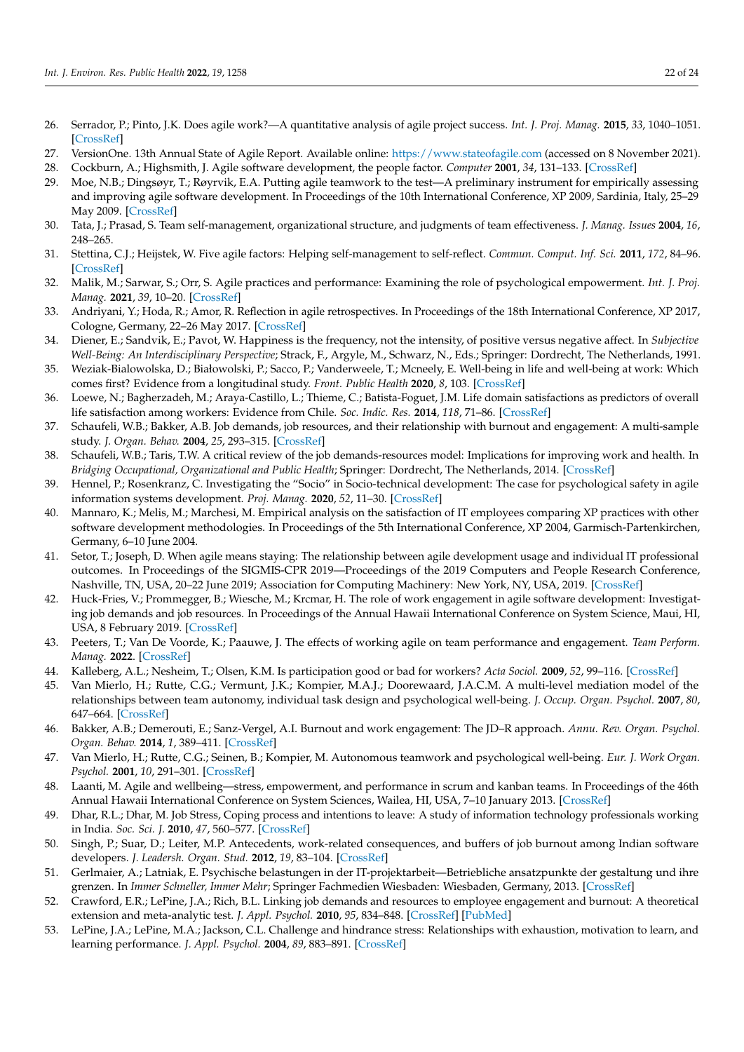- <span id="page-21-0"></span>26. Serrador, P.; Pinto, J.K. Does agile work?—A quantitative analysis of agile project success. *Int. J. Proj. Manag.* **2015**, *33*, 1040–1051. [\[CrossRef\]](http://doi.org/10.1016/j.ijproman.2015.01.006)
- <span id="page-21-1"></span>27. VersionOne. 13th Annual State of Agile Report. Available online: <https://www.stateofagile.com> (accessed on 8 November 2021).
- <span id="page-21-2"></span>28. Cockburn, A.; Highsmith, J. Agile software development, the people factor. *Computer* **2001**, *34*, 131–133. [\[CrossRef\]](http://doi.org/10.1109/2.963450)
- <span id="page-21-3"></span>29. Moe, N.B.; Dingsøyr, T.; Røyrvik, E.A. Putting agile teamwork to the test—A preliminary instrument for empirically assessing and improving agile software development. In Proceedings of the 10th International Conference, XP 2009, Sardinia, Italy, 25–29 May 2009. [\[CrossRef\]](http://doi.org/10.1007/978-3-642-01853-4_14)
- <span id="page-21-4"></span>30. Tata, J.; Prasad, S. Team self-management, organizational structure, and judgments of team effectiveness. *J. Manag. Issues* **2004**, *16*, 248–265.
- <span id="page-21-5"></span>31. Stettina, C.J.; Heijstek, W. Five agile factors: Helping self-management to self-reflect. *Commun. Comput. Inf. Sci.* **2011**, *172*, 84–96. [\[CrossRef\]](http://doi.org/10.1007/978-3-642-22206-1_8)
- <span id="page-21-6"></span>32. Malik, M.; Sarwar, S.; Orr, S. Agile practices and performance: Examining the role of psychological empowerment. *Int. J. Proj. Manag.* **2021**, *39*, 10–20. [\[CrossRef\]](http://doi.org/10.1016/j.ijproman.2020.09.002)
- <span id="page-21-7"></span>33. Andriyani, Y.; Hoda, R.; Amor, R. Reflection in agile retrospectives. In Proceedings of the 18th International Conference, XP 2017, Cologne, Germany, 22–26 May 2017. [\[CrossRef\]](http://doi.org/10.1007/978-3-319-57633-6_1)
- <span id="page-21-8"></span>34. Diener, E.; Sandvik, E.; Pavot, W. Happiness is the frequency, not the intensity, of positive versus negative affect. In *Subjective Well-Being: An Interdisciplinary Perspective*; Strack, F., Argyle, M., Schwarz, N., Eds.; Springer: Dordrecht, The Netherlands, 1991.
- <span id="page-21-9"></span>35. Weziak-Bialowolska, D.; Białowolski, P.; Sacco, P.; Vanderweele, T.; Mcneely, E. Well-being in life and well-being at work: Which comes first? Evidence from a longitudinal study. *Front. Public Health* **2020**, *8*, 103. [\[CrossRef\]](http://doi.org/10.3389/fpubh.2020.00103)
- <span id="page-21-10"></span>36. Loewe, N.; Bagherzadeh, M.; Araya-Castillo, L.; Thieme, C.; Batista-Foguet, J.M. Life domain satisfactions as predictors of overall life satisfaction among workers: Evidence from Chile. *Soc. Indic. Res.* **2014**, *118*, 71–86. [\[CrossRef\]](http://doi.org/10.1007/s11205-013-0408-6)
- <span id="page-21-11"></span>37. Schaufeli, W.B.; Bakker, A.B. Job demands, job resources, and their relationship with burnout and engagement: A multi-sample study. *J. Organ. Behav.* **2004**, *25*, 293–315. [\[CrossRef\]](http://doi.org/10.1002/job.248)
- <span id="page-21-12"></span>38. Schaufeli, W.B.; Taris, T.W. A critical review of the job demands-resources model: Implications for improving work and health. In *Bridging Occupational, Organizational and Public Health*; Springer: Dordrecht, The Netherlands, 2014. [\[CrossRef\]](http://doi.org/10.1007/978-94-007-5640-3_4)
- <span id="page-21-13"></span>39. Hennel, P.; Rosenkranz, C. Investigating the "Socio" in Socio-technical development: The case for psychological safety in agile information systems development. *Proj. Manag.* **2020**, *52*, 11–30. [\[CrossRef\]](http://doi.org/10.1177/8756972820933057)
- <span id="page-21-14"></span>40. Mannaro, K.; Melis, M.; Marchesi, M. Empirical analysis on the satisfaction of IT employees comparing XP practices with other software development methodologies. In Proceedings of the 5th International Conference, XP 2004, Garmisch-Partenkirchen, Germany, 6–10 June 2004.
- <span id="page-21-15"></span>41. Setor, T.; Joseph, D. When agile means staying: The relationship between agile development usage and individual IT professional outcomes. In Proceedings of the SIGMIS-CPR 2019—Proceedings of the 2019 Computers and People Research Conference, Nashville, TN, USA, 20–22 June 2019; Association for Computing Machinery: New York, NY, USA, 2019. [\[CrossRef\]](http://doi.org/10.1145/3322385.3322387)
- <span id="page-21-16"></span>42. Huck-Fries, V.; Prommegger, B.; Wiesche, M.; Krcmar, H. The role of work engagement in agile software development: Investigating job demands and job resources. In Proceedings of the Annual Hawaii International Conference on System Science, Maui, HI, USA, 8 February 2019. [\[CrossRef\]](http://doi.org/10.24251/HICSS.2019.844)
- <span id="page-21-17"></span>43. Peeters, T.; Van De Voorde, K.; Paauwe, J. The effects of working agile on team performance and engagement. *Team Perform. Manag.* **2022**. [\[CrossRef\]](http://doi.org/10.1108/TPM-07-2021-0049)
- <span id="page-21-18"></span>44. Kalleberg, A.L.; Nesheim, T.; Olsen, K.M. Is participation good or bad for workers? *Acta Sociol.* **2009**, *52*, 99–116. [\[CrossRef\]](http://doi.org/10.1177/0001699309103999)
- <span id="page-21-19"></span>45. Van Mierlo, H.; Rutte, C.G.; Vermunt, J.K.; Kompier, M.A.J.; Doorewaard, J.A.C.M. A multi-level mediation model of the relationships between team autonomy, individual task design and psychological well-being. *J. Occup. Organ. Psychol.* **2007**, *80*, 647–664. [\[CrossRef\]](http://doi.org/10.1348/096317907X196886)
- <span id="page-21-20"></span>46. Bakker, A.B.; Demerouti, E.; Sanz-Vergel, A.I. Burnout and work engagement: The JD–R approach. *Annu. Rev. Organ. Psychol. Organ. Behav.* **2014**, *1*, 389–411. [\[CrossRef\]](http://doi.org/10.1146/annurev-orgpsych-031413-091235)
- <span id="page-21-21"></span>47. Van Mierlo, H.; Rutte, C.G.; Seinen, B.; Kompier, M. Autonomous teamwork and psychological well-being. *Eur. J. Work Organ. Psychol.* **2001**, *10*, 291–301. [\[CrossRef\]](http://doi.org/10.1080/13594320143000681)
- <span id="page-21-22"></span>48. Laanti, M. Agile and wellbeing—stress, empowerment, and performance in scrum and kanban teams. In Proceedings of the 46th Annual Hawaii International Conference on System Sciences, Wailea, HI, USA, 7–10 January 2013. [\[CrossRef\]](http://doi.org/10.1109/HICSS.2013.74)
- <span id="page-21-23"></span>49. Dhar, R.L.; Dhar, M. Job Stress, Coping process and intentions to leave: A study of information technology professionals working in India. *Soc. Sci. J.* **2010**, *47*, 560–577. [\[CrossRef\]](http://doi.org/10.1016/j.soscij.2010.01.006)
- <span id="page-21-24"></span>50. Singh, P.; Suar, D.; Leiter, M.P. Antecedents, work-related consequences, and buffers of job burnout among Indian software developers. *J. Leadersh. Organ. Stud.* **2012**, *19*, 83–104. [\[CrossRef\]](http://doi.org/10.1177/1548051811429572)
- <span id="page-21-25"></span>51. Gerlmaier, A.; Latniak, E. Psychische belastungen in der IT-projektarbeit—Betriebliche ansatzpunkte der gestaltung und ihre grenzen. In *Immer Schneller, Immer Mehr*; Springer Fachmedien Wiesbaden: Wiesbaden, Germany, 2013. [\[CrossRef\]](http://doi.org/10.1007/978-3-658-01445-2_8)
- <span id="page-21-26"></span>52. Crawford, E.R.; LePine, J.A.; Rich, B.L. Linking job demands and resources to employee engagement and burnout: A theoretical extension and meta-analytic test. *J. Appl. Psychol.* **2010**, *95*, 834–848. [\[CrossRef\]](http://doi.org/10.1037/a0019364) [\[PubMed\]](http://www.ncbi.nlm.nih.gov/pubmed/20836586)
- <span id="page-21-27"></span>53. LePine, J.A.; LePine, M.A.; Jackson, C.L. Challenge and hindrance stress: Relationships with exhaustion, motivation to learn, and learning performance. *J. Appl. Psychol.* **2004**, *89*, 883–891. [\[CrossRef\]](http://doi.org/10.1037/0021-9010.89.5.883)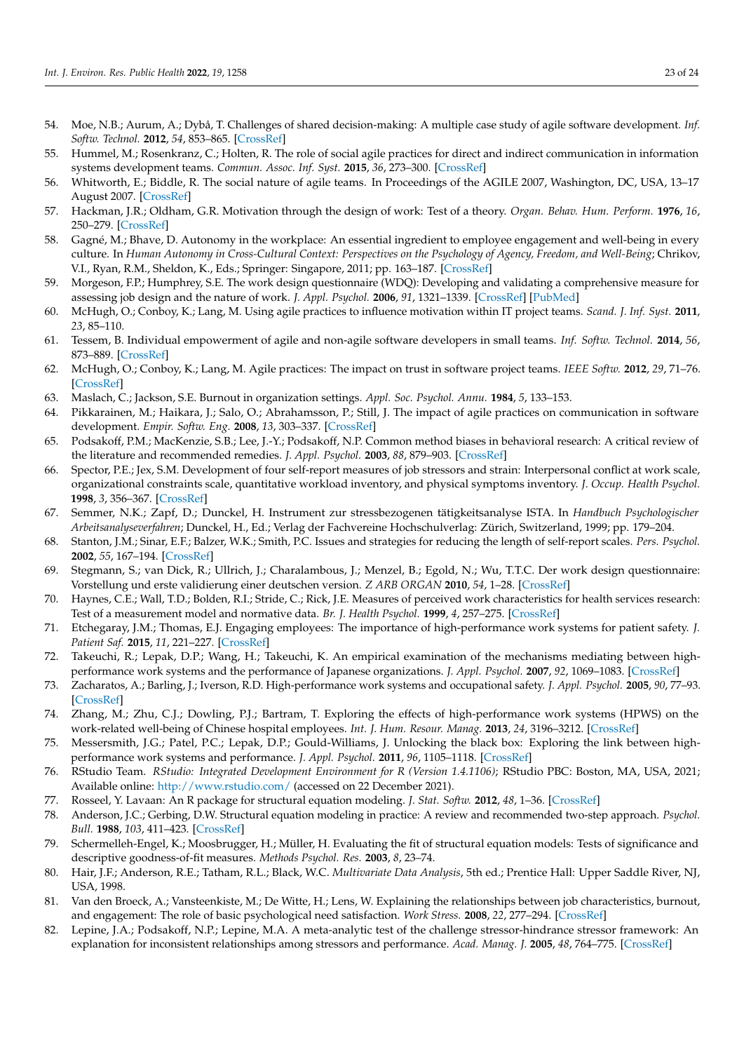- <span id="page-22-0"></span>54. Moe, N.B.; Aurum, A.; Dybå, T. Challenges of shared decision-making: A multiple case study of agile software development. *Inf. Softw. Technol.* **2012**, *54*, 853–865. [\[CrossRef\]](http://doi.org/10.1016/j.infsof.2011.11.006)
- <span id="page-22-1"></span>55. Hummel, M.; Rosenkranz, C.; Holten, R. The role of social agile practices for direct and indirect communication in information systems development teams. *Commun. Assoc. Inf. Syst.* **2015**, *36*, 273–300. [\[CrossRef\]](http://doi.org/10.17705/1CAIS.03615)
- <span id="page-22-2"></span>56. Whitworth, E.; Biddle, R. The social nature of agile teams. In Proceedings of the AGILE 2007, Washington, DC, USA, 13–17 August 2007. [\[CrossRef\]](http://doi.org/10.1109/AGILE.2007.60)
- <span id="page-22-3"></span>57. Hackman, J.R.; Oldham, G.R. Motivation through the design of work: Test of a theory. *Organ. Behav. Hum. Perform.* **1976**, *16*, 250–279. [\[CrossRef\]](http://doi.org/10.1016/0030-5073(76)90016-7)
- <span id="page-22-4"></span>58. Gagné, M.; Bhave, D. Autonomy in the workplace: An essential ingredient to employee engagement and well-being in every culture. In *Human Autonomy in Cross-Cultural Context: Perspectives on the Psychology of Agency, Freedom, and Well-Being*; Chrikov, V.I., Ryan, R.M., Sheldon, K., Eds.; Springer: Singapore, 2011; pp. 163–187. [\[CrossRef\]](http://doi.org/10.1007/978-90-481-9667-8_8)
- <span id="page-22-5"></span>59. Morgeson, F.P.; Humphrey, S.E. The work design questionnaire (WDQ): Developing and validating a comprehensive measure for assessing job design and the nature of work. *J. Appl. Psychol.* **2006**, *91*, 1321–1339. [\[CrossRef\]](http://doi.org/10.1037/0021-9010.91.6.1321) [\[PubMed\]](http://www.ncbi.nlm.nih.gov/pubmed/17100487)
- <span id="page-22-6"></span>60. McHugh, O.; Conboy, K.; Lang, M. Using agile practices to influence motivation within IT project teams. *Scand. J. Inf. Syst.* **2011**, *23*, 85–110.
- <span id="page-22-7"></span>61. Tessem, B. Individual empowerment of agile and non-agile software developers in small teams. *Inf. Softw. Technol.* **2014**, *56*, 873–889. [\[CrossRef\]](http://doi.org/10.1016/j.infsof.2014.02.005)
- <span id="page-22-8"></span>62. McHugh, O.; Conboy, K.; Lang, M. Agile practices: The impact on trust in software project teams. *IEEE Softw.* **2012**, *29*, 71–76. [\[CrossRef\]](http://doi.org/10.1109/MS.2011.118)
- <span id="page-22-9"></span>63. Maslach, C.; Jackson, S.E. Burnout in organization settings. *Appl. Soc. Psychol. Annu.* **1984**, *5*, 133–153.
- <span id="page-22-10"></span>64. Pikkarainen, M.; Haikara, J.; Salo, O.; Abrahamsson, P.; Still, J. The impact of agile practices on communication in software development. *Empir. Softw. Eng.* **2008**, *13*, 303–337. [\[CrossRef\]](http://doi.org/10.1007/s10664-008-9065-9)
- <span id="page-22-11"></span>65. Podsakoff, P.M.; MacKenzie, S.B.; Lee, J.-Y.; Podsakoff, N.P. Common method biases in behavioral research: A critical review of the literature and recommended remedies. *J. Appl. Psychol.* **2003**, *88*, 879–903. [\[CrossRef\]](http://doi.org/10.1037/0021-9010.88.5.879)
- <span id="page-22-12"></span>66. Spector, P.E.; Jex, S.M. Development of four self-report measures of job stressors and strain: Interpersonal conflict at work scale, organizational constraints scale, quantitative workload inventory, and physical symptoms inventory. *J. Occup. Health Psychol.* **1998**, *3*, 356–367. [\[CrossRef\]](http://doi.org/10.1037/1076-8998.3.4.356)
- <span id="page-22-13"></span>67. Semmer, N.K.; Zapf, D.; Dunckel, H. Instrument zur stressbezogenen tätigkeitsanalyse ISTA. In *Handbuch Psychologischer Arbeitsanalyseverfahren*; Dunckel, H., Ed.; Verlag der Fachvereine Hochschulverlag: Zürich, Switzerland, 1999; pp. 179–204.
- <span id="page-22-14"></span>68. Stanton, J.M.; Sinar, E.F.; Balzer, W.K.; Smith, P.C. Issues and strategies for reducing the length of self-report scales. *Pers. Psychol.* **2002**, *55*, 167–194. [\[CrossRef\]](http://doi.org/10.1111/j.1744-6570.2002.tb00108.x)
- <span id="page-22-15"></span>69. Stegmann, S.; van Dick, R.; Ullrich, J.; Charalambous, J.; Menzel, B.; Egold, N.; Wu, T.T.C. Der work design questionnaire: Vorstellung und erste validierung einer deutschen version. *Z ARB ORGAN* **2010**, *54*, 1–28. [\[CrossRef\]](http://doi.org/10.1026/0932-4089/a000002)
- <span id="page-22-16"></span>70. Haynes, C.E.; Wall, T.D.; Bolden, R.I.; Stride, C.; Rick, J.E. Measures of perceived work characteristics for health services research: Test of a measurement model and normative data. *Br. J. Health Psychol.* **1999**, *4*, 257–275. [\[CrossRef\]](http://doi.org/10.1348/135910799168614)
- <span id="page-22-17"></span>71. Etchegaray, J.M.; Thomas, E.J. Engaging employees: The importance of high-performance work systems for patient safety. *J. Patient Saf.* **2015**, *11*, 221–227. [\[CrossRef\]](http://doi.org/10.1097/PTS.0000000000000076)
- <span id="page-22-18"></span>72. Takeuchi, R.; Lepak, D.P.; Wang, H.; Takeuchi, K. An empirical examination of the mechanisms mediating between highperformance work systems and the performance of Japanese organizations. *J. Appl. Psychol.* **2007**, *92*, 1069–1083. [\[CrossRef\]](http://doi.org/10.1037/0021-9010.92.4.1069)
- <span id="page-22-19"></span>73. Zacharatos, A.; Barling, J.; Iverson, R.D. High-performance work systems and occupational safety. *J. Appl. Psychol.* **2005**, *90*, 77–93. [\[CrossRef\]](http://doi.org/10.1037/0021-9010.90.1.77)
- <span id="page-22-20"></span>74. Zhang, M.; Zhu, C.J.; Dowling, P.J.; Bartram, T. Exploring the effects of high-performance work systems (HPWS) on the work-related well-being of Chinese hospital employees. *Int. J. Hum. Resour. Manag.* **2013**, *24*, 3196–3212. [\[CrossRef\]](http://doi.org/10.1080/09585192.2013.775026)
- <span id="page-22-21"></span>75. Messersmith, J.G.; Patel, P.C.; Lepak, D.P.; Gould-Williams, J. Unlocking the black box: Exploring the link between highperformance work systems and performance. *J. Appl. Psychol.* **2011**, *96*, 1105–1118. [\[CrossRef\]](http://doi.org/10.1037/a0024710)
- <span id="page-22-22"></span>76. RStudio Team. *RStudio: Integrated Development Environment for R (Version 1.4.1106)*; RStudio PBC: Boston, MA, USA, 2021; Available online: <http://www.rstudio.com/> (accessed on 22 December 2021).
- <span id="page-22-23"></span>77. Rosseel, Y. Lavaan: An R package for structural equation modeling. *J. Stat. Softw.* **2012**, *48*, 1–36. [\[CrossRef\]](http://doi.org/10.18637/jss.v048.i02)
- <span id="page-22-24"></span>78. Anderson, J.C.; Gerbing, D.W. Structural equation modeling in practice: A review and recommended two-step approach. *Psychol. Bull.* **1988**, *103*, 411–423. [\[CrossRef\]](http://doi.org/10.1037/0033-2909.103.3.411)
- <span id="page-22-25"></span>79. Schermelleh-Engel, K.; Moosbrugger, H.; Müller, H. Evaluating the fit of structural equation models: Tests of significance and descriptive goodness-of-fit measures. *Methods Psychol. Res.* **2003**, *8*, 23–74.
- <span id="page-22-26"></span>80. Hair, J.F.; Anderson, R.E.; Tatham, R.L.; Black, W.C. *Multivariate Data Analysis*, 5th ed.; Prentice Hall: Upper Saddle River, NJ, USA, 1998.
- <span id="page-22-27"></span>81. Van den Broeck, A.; Vansteenkiste, M.; De Witte, H.; Lens, W. Explaining the relationships between job characteristics, burnout, and engagement: The role of basic psychological need satisfaction. *Work Stress.* **2008**, *22*, 277–294. [\[CrossRef\]](http://doi.org/10.1080/02678370802393672)
- <span id="page-22-28"></span>82. Lepine, J.A.; Podsakoff, N.P.; Lepine, M.A. A meta-analytic test of the challenge stressor-hindrance stressor framework: An explanation for inconsistent relationships among stressors and performance. *Acad. Manag. J.* **2005**, *48*, 764–775. [\[CrossRef\]](http://doi.org/10.5465/amj.2005.18803921)